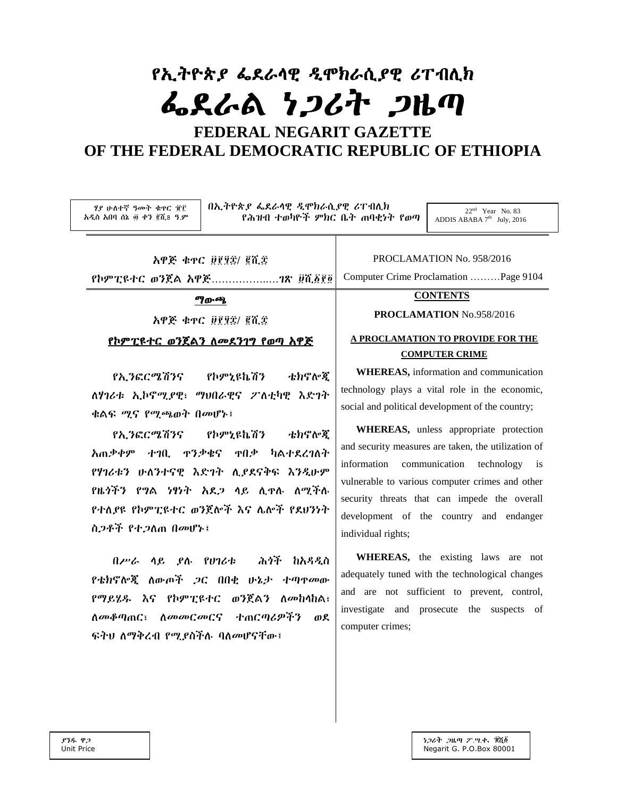# የኢትዮጵያ ፌደራሳዊ ዲሞክራሲያዊ ሪፐብሊክ ፌደራል ነጋሪት ጋዜጣ

# FEDERAL NEGARIT GAZETTE OF THE FEDERAL DEMOCRATIC REPUBLIC OF ETHIOPIA

| በኢትዮጵያ ፌደራሳዊ ዲሞክራሲያዊ ሪፐብሊክ                                                                                                                       | $22nd$ Year No. 83                                                                                                                                                                                                                                    |  |
|--------------------------------------------------------------------------------------------------------------------------------------------------|-------------------------------------------------------------------------------------------------------------------------------------------------------------------------------------------------------------------------------------------------------|--|
| ሃያ ሁለተኛ ዓመት ቁዋር ፹፫                                                                                                                               | የሕዝብ ተወካዮች ምክር ቤት ጠባቂነት የወጣ                                                                                                                                                                                                                           |  |
| አዲስ አበባ ሰኔ ፴ ቀን ፪ሺ8 ዓ.ም                                                                                                                          | ADDIS ABABA $7th$ July, 2016                                                                                                                                                                                                                          |  |
| አዋጅ ቁዋር ፱፻፶፰/ ፪ሺ፰                                                                                                                                | PROCLAMATION No. 958/2016                                                                                                                                                                                                                             |  |
|                                                                                                                                                  | Computer Crime Proclamation Page 9104                                                                                                                                                                                                                 |  |
| <b>ማውጫ</b><br>አዋጅ ቁኖር ፱፻፶፰/ ፪ሺ፰<br><u>የኮምፒዩተር ወንጀልን ስመደንገግ የወጣ አዋጅ</u>                                                                           | <b>CONTENTS</b><br>PROCLAMATION No.958/2016<br>A PROCLAMATION TO PROVIDE FOR THE<br><b>COMPUTER CRIME</b>                                                                                                                                             |  |
| የኢንፎርሜሽንና የኮምኒዩኬሽን<br>ቴክኖሎጂ<br>ለሃገሪቱ ኢኮኖሚያዊ፣ ማህበራዊና ፖለቲካዊ እድገት<br>ቁልፍ ሚና የሚጫወት በመሆኑ፤<br>የኢንፎርሜሽንና የኮምኒዩኬሽን ቴክኖሎጂ<br>አጠቃቀም ተገቢ ዋንቃቄና ዋበቃ ካልተደረገለት | <b>WHEREAS</b> , information and communication<br>technology plays a vital role in the economic,<br>social and political development of the country;<br>WHEREAS, unless appropriate protection<br>and security measures are taken, the utilization of |  |
| የሃገሪቱን ሁለንተናዊ እድገት ሲያደናቅፍ እንዲሁም<br>የዜጎችን የግል ነፃነት አደጋ ላይ ሲዋሉ ለሚችሉ<br>የተለያዩ የኮምፒዩተር ወንጀሎች እና ሌሎች የደሀንነት<br>ስ.2ቶች የተ.2ስጠ በመሆኑ፤                     | communication technology is<br>information<br>vulnerable to various computer crimes and other<br>security threats that can impede the overall<br>development of the country and endanger<br>individual rights;                                        |  |
| በሥራ ሳይ ያሉ የሀገሪቱ  ሕጎች ከአዳዲስ                                                                                                                       | <b>WHEREAS</b> , the existing laws are not                                                                                                                                                                                                            |  |
| የቴክኖሎጂ ለውጦች ጋር በበቂ ሁኔታ ተጣዋመው                                                                                                                     | adequately tuned with the technological changes                                                                                                                                                                                                       |  |
| የማይሄዱ እና የኮምፒዩተር ወንጀልን ለመከላከል፣                                                                                                                   | and are not sufficient to prevent, control,                                                                                                                                                                                                           |  |
| ለመቆጣጠር፣ ለመመርመርና ተጠርጣሪዎችን                                                                                                                         | investigate and prosecute the                                                                                                                                                                                                                         |  |
| ወደ                                                                                                                                               | suspects of                                                                                                                                                                                                                                           |  |
| ፍትህ ለማቅረብ የሚያስችሉ ባለመሆናቸው፤                                                                                                                        | computer crimes;                                                                                                                                                                                                                                      |  |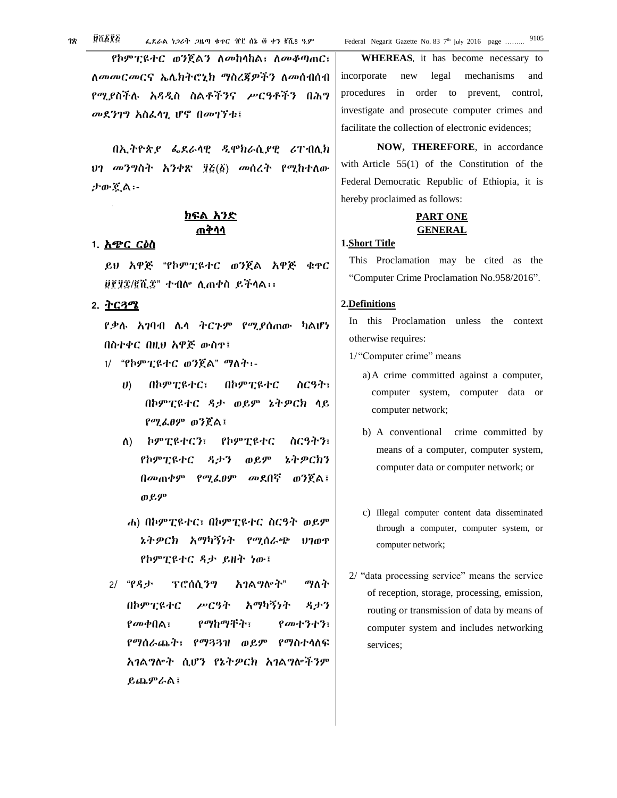የኮምፒዩተር ወንጀልን ለመከላከል፣ ለመቆጣጠር፣ ለመመርመርና ኤሌክትሮኒክ ማስረጀዎችን ለመሰብሰብ የሚያስችሉ አዳዲስ ስልቶችንና ሥርዓቶችን በሕግ መደንገግ አስፌሳጊ ሆኖ በመገኘቱ፤

በኢትዮጵያ ፌደራሳዊ ዲሞክራሲያዊ ሪፐብሊክ ህን መንግስት አንቀጽ ፶፩(፩) መሰረት የሚከተለው ታውጀል፡-

# ክፍል አንድ ጠቅሳሳ

#### 1. *እጭር ርዕ*ስ

ይሀ አዋጅ "የኮምፒዩተር ወንጀል አዋጅ ቁዋር ፱፻፶፰/፪ሺ፰" ተብሎ ሊጠቀስ ይችላል፡፡

# 2. ትርጓሜ

የቃሉ አገባብ ሌላ ትርጉም የሚያሰጠው ካልሆነ በስተቀር በዚህ አዋጅ ውስዋ፤

- 1/ "የኮምፒዩተር ወንጀል" ማለት፡-
	- በኮምፒዩተር  $\boldsymbol{v}$ በኮምፒዩተር፣ ስርዓት፣ በኮምፒዩተር ዳታ ወይም ኔትዎርክ ላይ የሚፌፀም ወንጀል፤
	- ለ) ኮምፒዩተርን፣ የኮምፒዩተር ስርዓትን፣ ኔትዎርክን የኮምፒዩተር ዳታን ወይም በመጠቀም የሚፌፀም መደበኛ ወንጀል፤ ወይም
	- ሐ) በኮምፒዩተር፣ በኮምፒዩተር ስርዓት ወይም ኔትዎርክ አማካኝነት የሚሰራጭ ሀገወዋ የኮምፒዩተር ዳታ ይዘት ነው፤
- $2/$  " $P.A.f.$ ፕሮሰሲንግ አገልግሎት" ማለት በኮምፒዩተር ሥርዓት አማካኝንት 名小? የመቀበል፣ የማከማችት፣ የመተንተን፣ የማሰራጨት፣ የማጓጓዝ ወይም የማስተሳለፍ አገልግሎት ሲሆን የኔትዎርክ አገልግሎችንም ይጨ**ምራል**፤

WHEREAS, it has become necessary to incorporate new legal mechanisms and procedures in order to prevent, control, investigate and prosecute computer crimes and facilitate the collection of electronic evidences;

NOW, THEREFORE, in accordance with Article  $55(1)$  of the Constitution of the Federal Democratic Republic of Ethiopia, it is hereby proclaimed as follows:

# **PART ONE GENERAL**

### 1.Short Title

This Proclamation may be cited as the "Computer Crime Proclamation No.958/2016".

# 2.Definitions

In this Proclamation unless the context otherwise requires:

1/"Computer crime" means

- a) A crime committed against a computer, computer system, computer data or computer network;
- b) A conventional crime committed by means of a computer, computer system, computer data or computer network; or
- c) Illegal computer content data disseminated through a computer, computer system, or computer network;
- 2/ "data processing service" means the service of reception, storage, processing, emission, routing or transmission of data by means of computer system and includes networking services: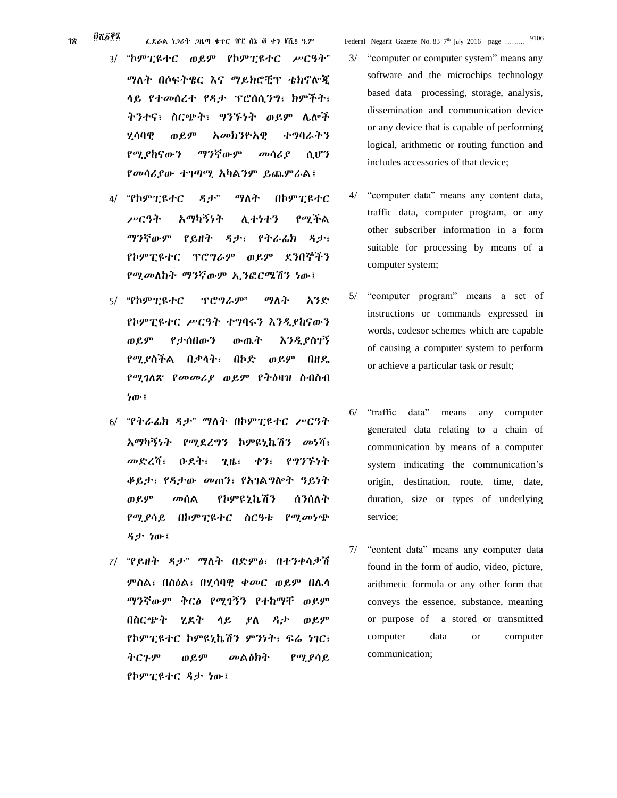**78** 

- "ኮምፒዩተር ወይም የኮምፒዩተር ሥርዓት"  $3/$ ማለት በሶፍትዌር እና ማይክሮቺፕ ቴክኖሎጂ ላይ የተመሰረተ የዳታ ፕሮሰሲንግ፣ ክምችት፣ ትንተና፣ ስርጭት፣ ግንኙነት ወይም ሌሎች ሃሳባዊ ወይም አመክንዮአዊ ተማባራትን የሚያከናውን ማንኛውም መሳሪያ ሲሆን *የመሳሪያ*ው ተገጣሚ አካልንም ይጨምራል፤
- "የኮምፒዩተር  $A_1 + B_2$ ማለት በኮምፒዩተር 4/ ሥርዓት አማካኝነት የሚችል ሊ ተንተን ማንኛውም የይዘት ዳታ፣ የትራፊክ ዳታ፣ የኮምፒዩተር ፕሮግራም ወይም ደንበኞችን የሚመለከት ማንኛውም ኢንፎርሜሽን ነው፤
- 5/ "**የኮምፒዩተር** ፕሮግራም" ማለት አንድ የኮምፒዩተር ሥርዓት ተግባሩን እንዲያከናውን ወይም የታሰበውን ውጤት እንዲያስገኝ የሚያስችል በቃላት፣ በኮድ ወይም በዘዴ የሚገለጽ የ*መመሪያ ወይም የትዕ*ዛዝ ስብስብ ነው፤
- 6/ "የትራፊክ ዳታ" ማለት በኮምፒዩተር ሥርዓት አማካኝነት የሚደረግን ኮምዩኒኬሽን መነሻ፣ መድረሻ፣ ዑደት፣  $2.16:$  $\phi$ ? የግንኙነት ቆይታ፣ የዳታው መጠን፣ የአገልግሎት ዓይነት ወይም መሰል የኮምዩኒኬሽን ሰንሰለት የሚያሳይ በኮምፒዩተር ስርዓቱ የሚመነጭ ዳታ ነው፤
- 7/ "የይዘት ዳታ" ማለት በድምፅ፣ በተንቀሳቃሽ ምስል፣ በስዕል፣ በሂሳባዊ *ቀመር ወይም* በሌሳ ማንኛውም ቅር∂ የሚገኝን የተከማቸ ወይም በስርጭት ሂደት ሳይ ያለ 名小 ወይም የኮምፒዩተር ኮምዩኒኬሽን ምንነት፣ ፍሬ ነገር፣ ትርጉም ወይም መልዕክት የሚያሳይ የኮምፒዩተር ዳታ ነው፤

logical, arithmetic or routing function and

Federal Negarit Gazette No. 83 7<sup>th</sup> July 2016 page ........

"computer data" means any content data,  $4/$ traffic data, computer program, or any other subscriber information in a form suitable for processing by means of a computer system;

includes accessories of that device;

- $5/$ "computer program" means a set of instructions or commands expressed in words, codesor schemes which are capable of causing a computer system to perform or achieve a particular task or result;
- $6/$ "traffic data" means any computer generated data relating to a chain of communication by means of a computer system indicating the communication's origin, destination, route, time, date, duration, size or types of underlying service;
- $7/$ "content data" means any computer data found in the form of audio, video, picture, arithmetic formula or any other form that conveys the essence, substance, meaning or purpose of a stored or transmitted computer data computer  $\alpha$ communication;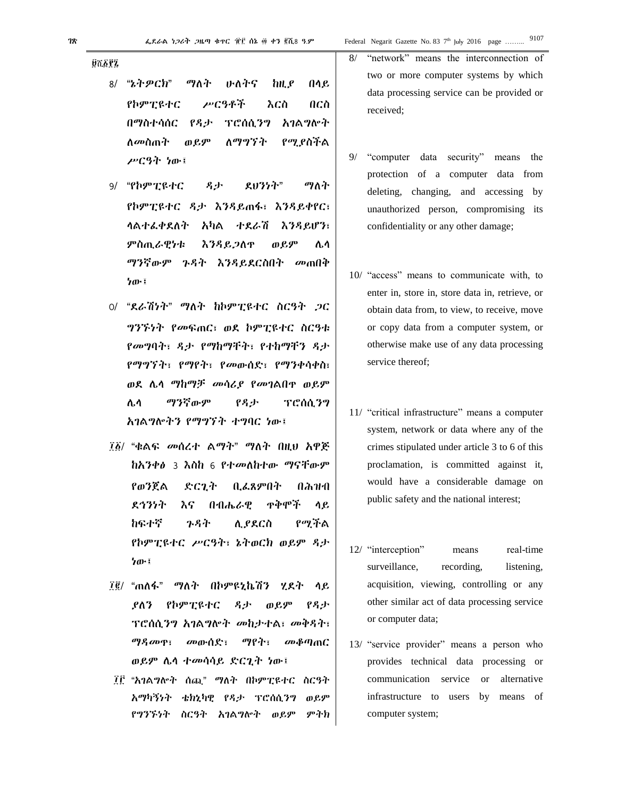**Ø7682** 

- 8/ "ኔትዎርክ" ማለት いんから hH.P በላይ  $0<sub>CD</sub>$ የኮምፒዩተር ሥርዓቶች እርስ በማስተሳሰር አገልግሎት የዳታ ፕሮሰሲንግ ለ*መ*ስጠት ወይም ለማግኘት የሚያስችል ሥርዓት ነው፤
- 9/ "የኮምፒዩተር みず ደህንነት" ማለት የኮምፒዩተር ዳታ እንዳይጠፋ፣ እንዳይቀየር፣ ሳልተፌቀደለት አካል ተደራሽ እንዳይሆን፣ ምስጢራዊነቱ እንዳይጋለዋ ወይም ሌሳ ማንኛውም ጉዳት እንዳይደርስበት *መ*ጠበቅ ነው፤
- $O/$  "ደራሽነት" ማለት ከኮምፒዩተር ስርዓት ጋር ግንኙነት የመፍጠር፣ ወደ ኮምፒዩተር ስርዓቱ የመግባት፣ ዳታ የማከማቸት፣ የተከማቸን ዳታ የማግኘት፣ የማየት፣ የመውሰድ፣ የማንቀሳቀስ፣ ወደ ሌላ ማከማቻ መሳሪያ የመገልበዋ ወይም ሌሳ ማንኛውም የዳታ ፕሮሰሲንግ አገልግሎትን የማግኘት ተግባር ነው፤
- ፲፩/ "ቁልፍ መሰረተ ልማት" ማለት በዚህ አዋጅ ከአንቀቃ 3 እስከ 6 የተመለከተው ማናቸውም የወንጀል ድርጊት ቢፌጸምበት በሕዝብ ደኅንነት ዋቅሞች እና かれんんと ሳይ わፍナኛ ንዳት ሲ ያደርስ የማችል የኮምፒዩተር ሥርዓት፣ ኔትወርክ ወይም ዳታ ነው፤
- ፲፪/ "ጠለፋ" ማለት በኮምዩኒኬሽን ሂደት ሳይ ዳታ $\cdot$ ያለን የኮምፒዩተር ወይም የዳታ ፕሮሰሲንግ አባልግሎት መከታተል፣ መቅዳት፣ ማዳመጥ፣ መውሰድ፣ ማየት፣ መቆጣጠር ወይም ሌላ ተመሳሳይ ድርጊት ነው፤
- ፲፫ "አባልግሎት ሰጪ" ማለት በኮምፒዩተር ስርዓት አማካኝነት ቴክኒካዊ የዳታ ፕሮሰሲንግ ወ ይም ምትክ የግንኙነት ስርዓት አገልግሎት ወይም

two or more computer systems by which data processing service can be provided or received;

- "computer" data security" means  $9/$ the protection of a computer data from deleting, changing, and accessing by unauthorized person, compromising its confidentiality or any other damage;
- 10/ "access" means to communicate with, to enter in, store in, store data in, retrieve, or obtain data from, to view, to receive, move or copy data from a computer system, or otherwise make use of any data processing service thereof:
- 11/ "critical infrastructure" means a computer system, network or data where any of the crimes stipulated under article 3 to 6 of this proclamation, is committed against it, would have a considerable damage on public safety and the national interest;
- 12/ "interception" real-time means surveillance, recording, listening. acquisition, viewing, controlling or any other similar act of data processing service or computer data;
- 13/ "service provider" means a person who provides technical data processing or communication service  $\alpha$ alternative infrastructure to users by means of computer system;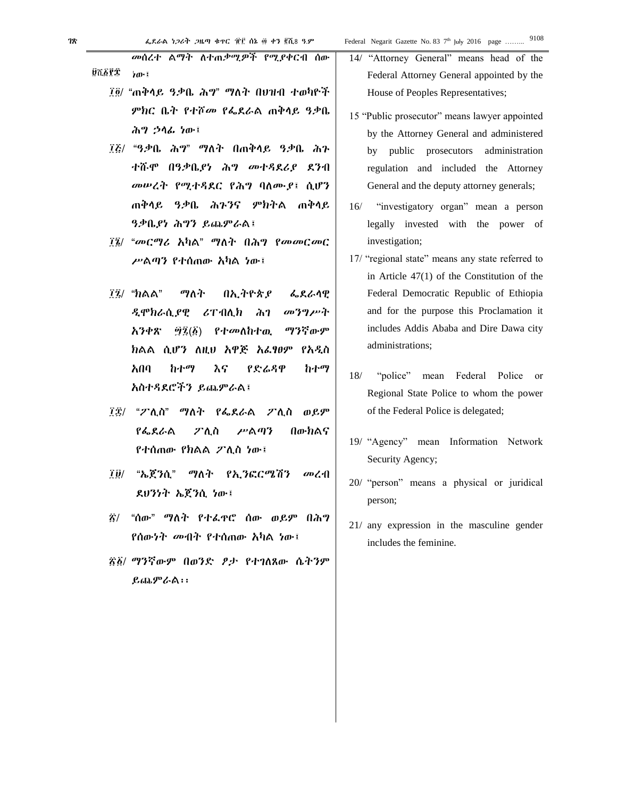መሰረተ ልማት ለተጠቃሚዎች የሚያቀርብ ሰው ነው፤ **Üሺ፩?±** 

- ፲፬/ "ጠቅላይ ዓቃቤ ሕግ" ማለት በህዝብ ተወካዮች ምክር ቤት የተሾመ የፌደራል ጠቅላይ ዓቃቤ ሕግ ኃላፊ ነው፤
- ፲፭/ "ዓቃቤ ሕግ" ማለት በጠቅላይ ዓቃቤ ሕጉ ተሹሞ በዓቃቤያነ ሕግ መተዳደሪያ ደንብ መሠረት የሚተዳደር የሕግ ባለሙያ፤ ሲሆን ጠቅላይ ዓቃቤ ሕጉንና ምክትል ጠቅላይ ዓቃቤያነ ሕግን ይጨምራል፤
- ፲፮/ "መርማሪ አካል" ማለት በሕግ የመመርመር ሥልጣን የተሰጠው አካል ነው፤
- ፲፯/ "ክልል" ማለት በኢትዮጵያ ፌደራላዊ ዲሞክራሲያዊ ሪፐብሊክ ሕገ መንግሥት አንቀጽ ፵፯(፩) የተመለከተዉ ማንኛውም ክልል ሲሆን ለዚህ አዋጅ አፈፃፀም የአዲስ አበባ ከተማ እና የድሬዳዋ ከተማ አስተዳደሮችን ይጨምራል፤
- ፲፰/ "ፖሊስ" ማለት የፌደራል ፖሊስ ወይም የፌደራል ፖሊስ ሥልጣን በውክልና የተሰጠው የክልል ፖሊስ ነው፤
- ፲፱/ "ኤጀንሲ" ማለት የኢንፎርሜሽን መረብ ደህንነት ኤጀንሲ ነው፤
- ፳/ "ሰው" ማለት የተፈጥሮ ሰው ወይም በሕግ የሰውነት መብት የተሰጠው አካል ነው፤
- ፳፩/ ማንኛውም በወንድ ፆታ የተገለጸው ሴትንም ይጨምራል፡፡

14/ "Attorney General" means head of the Federal Attorney General appointed by the House of Peoples Representatives;

- 15 "Public prosecutor" means lawyer appointed by the Attorney General and administered by public prosecutors administration regulation and included the Attorney General and the deputy attorney generals;
- 16/ "investigatory organ" mean a person legally invested with the power of investigation;
- 17/ "regional state" means any state referred to in Article 47(1) of the Constitution of the Federal Democratic Republic of Ethiopia and for the purpose this Proclamation it includes Addis Ababa and Dire Dawa city administrations;
- 18/ "police" mean Federal Police or Regional State Police to whom the power of the Federal Police is delegated;
- 19/ "Agency" mean Information Network Security Agency;
- 20/ "person" means a physical or juridical person;
- 21/ any expression in the masculine gender includes the feminine.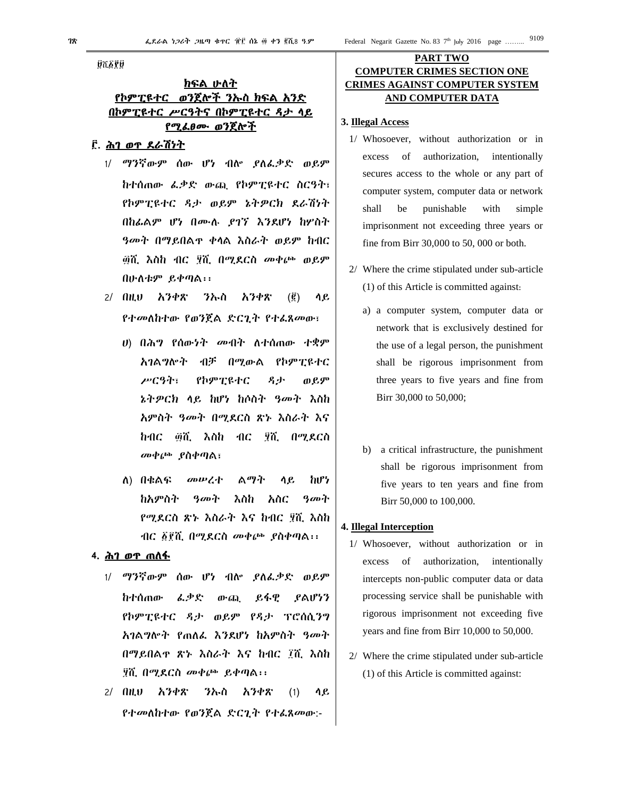**ūkā?ū** 

# <u>ክፍል ሁለት</u> የኮምፒዩተር ወንጀሎች ንኡስ ክፍል አንድ በኮምፒዩተር ሥርዓትና በኮምፒዩተር ዳታ ላይ የሚፈፀሙ ወንጀሎች

### ፫. ሕገ ወጥ ደራሽነት

- 1/ ማንኛውም ሰው ሆነ ብሎ ያለፈቃድ ወይም ከተሰጠው ፈቃድ ውጪ የኮምፒዩተር ስርዓት፣ የኮምፒዩተር ዳታ ወይም ኔትዎርክ ደራሽነት በከፊልም ሆነ በሙሉ ያገኘ እንደሆነ ከሦስት ዓመት በማይበልጥ ቀላል እስራት ወይም ከብር ፴ሺ እስከ ብር ፶ሺ በሚደርስ መቀጮ ወይም በሁለቱም ይቀጣል፡፡
- 2/ በዚህ አንቀጽ ንኡስ አንቀጽ (፪) ላይ የተመለከተው የወንጀል ድርጊት የተፈጸመው፣
	- ሀ) በሕግ የሰውነት መብት ለተሰጠው ተቋም አገልግሎት ብቻ በሚውል የኮምፒዩተር ሥርዓት፣ የኮምፒዩተር ዳታ ወይም ኔትዎርክ ላይ ከሆነ ከሶስት ዓመት እስከ አምስት ዓመት በሚደርስ ጽኑ እስራት እና ከብር ፴ሺ እስከ ብር ፶ሺ በሚደርስ መቀጮ ያስቀጣል፣
	- ለ) በቁልፍ መሠረተ ልማት ላይ ከሆነ ከአምስት ዓመት እስከ አስር ዓመት የሚደርስ ጽኑ እስራት እና ከብር ፶ሺ እስከ ብር ፩፻ሺ በሚደርስ መቀጮ ያስቀጣል፡፡

### **4**. ሕገ ወጥ ጠለፋ

- 1/ ማንኛውም ሰው ሆነ ብሎ ያለፈቃድ ወይም ከተሰጠው ፈቃድ ውጪ ይፋዊ ያልሆነን የኮምፒዩተር ዳታ ወይም የዳታ ፕሮሰሲንግ አገልግሎት የጠለፈ እንደሆነ ከአምስት ዓመት በማይበልጥ ጽኑ እስራት እና ከብር ፲ሺ እስከ ፶ሺ በሚደርስ መቀጮ ይቀጣል፡፡
- 2/ በዚህ አንቀጽ ንኡስ አንቀጽ (1) ላይ የተመለከተው የወንጀል ድርጊት የተፈጸመው:-

# **PART TWO COMPUTER CRIMES SECTION ONE CRIMES AGAINST COMPUTER SYSTEM AND COMPUTER DATA**

### **3. Illegal Access**

- 1/ Whosoever, without authorization or in excess of authorization, intentionally secures access to the whole or any part of computer system, computer data or network shall be punishable with simple imprisonment not exceeding three years or fine from Birr 30,000 to 50, 000 or both.
- 2/ Where the crime stipulated under sub-article (1) of this Article is committed against:
	- a) a computer system, computer data or network that is exclusively destined for the use of a legal person, the punishment shall be rigorous imprisonment from three years to five years and fine from Birr 30,000 to 50,000;
	- b) a critical infrastructure, the punishment shall be rigorous imprisonment from five years to ten years and fine from Birr 50,000 to 100,000.

### **4. Illegal Interception**

- 1/ Whosoever, without authorization or in excess of authorization, intentionally intercepts non-public computer data or data processing service shall be punishable with rigorous imprisonment not exceeding five years and fine from Birr 10,000 to 50,000.
- 2/ Where the crime stipulated under sub-article (1) of this Article is committed against: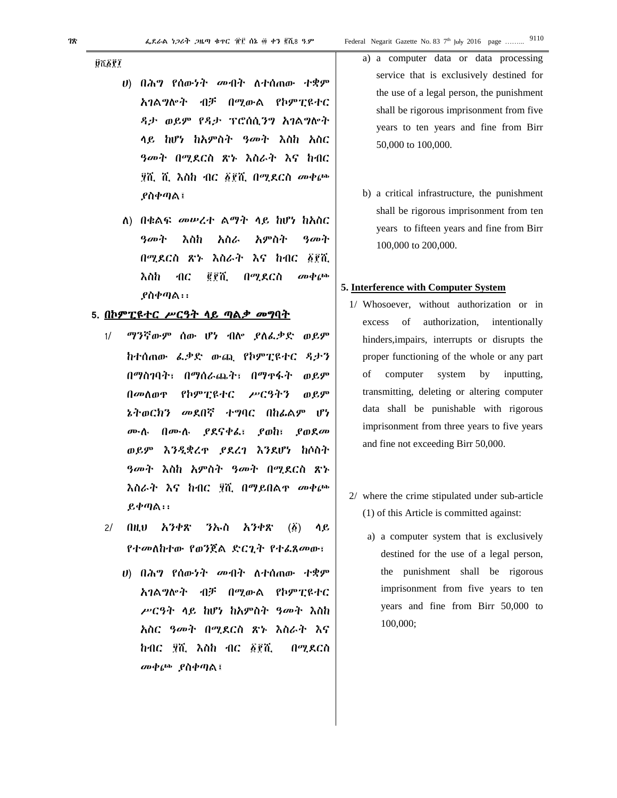**UTEPT** 

- $|U\rangle$  በሕግ የሰውነት መብት ለተሰጠው ተቋም አገልግሎት ብቻ በሚውል የኮምፒዩተር ዳታ ወይም የዳታ ፕሮሰሲንግ አገልግሎት ላይ ከሆነ ከአምስት ዓመት እስከ አስር *ዓመት በሚ*ደርስ ጽኑ እስራት እና ከብር ፶ሺ ሺ እስከ ብር ፩፻ሺ በሚደርስ መቀጮ ያስቀጣል፤
- ለ) በቁልፍ መሥረተ ልማት ላይ ከሆነ ከአስር ዓመት እስከ አስራ አምስት ዓመት በሚደርስ ጽኑ እስራት እና ከብር ፩፻ሺ g p T.  $\omega \phi$  (bb) እስከ  $AC$ በሚደርስ  $P$ ስቀጣል $\cdots$

#### 5. <u>በኮምፒዩተር ሥርዓት ሳይ ጣልቃ መግባት</u>

- $1/$ ማንኛውም ሰው ሆነ ብሎ ያለፌቃድ ወይም ከተሰጠው ፌቃድ ውጪ የኮምፒዩተር ዳታን በማስገባት፣ በማሰራጨት፣ በማዋፋት ወይም የኮምፒዩተር በመስወዋ ሥርዓትን ወይም ኔትወርክን መደበኛ ተግባር በከፊልም ሆነ ሙሉ በሙሉ ያደናቀፌ፣ የወከ፣  $\rho_{0}$  g  $\rho$ ወይም እንዲቋረዋ ያደረገ እንደሆነ ከሶስት *ዓመት እ*ስከ አምስት *ዓመት* በሚደርስ ጽኑ እስራት እና ከብር ፶ሺ በማይበልዋ መቀጮ  $R \phi \eta$ ል።
- $2/$ በዚህ አንቀጽ ንኡስ አንቀጽ  $\left(\vec{\Delta}\right)$ ሳይ የተመለከተው የወንጀል ድርጊት የተፌጸመው፣
	- ሀ) በሕግ የሰውነት መብት ለተሰጠው ተቋም አገልግሎት ብቻ በሚውል የኮምፒዩተር ሥርዓት ላይ ከሆነ ከአምስት ዓመት እስከ አስር ዓመት በሚደርስ ጽኑ እስራት እና  $h$ ብ $c$  ያሺ እስ $h$  ብ $c$   $\delta$ ያሺ በሚደርስ መቀጮ ያስቀጣል፤

a) a computer data or data processing service that is exclusively destined for the use of a legal person, the punishment shall be rigorous imprisonment from five years to ten years and fine from Birr 50,000 to 100,000.

9110

b) a critical infrastructure, the punishment shall be rigorous imprisonment from ten years to fifteen years and fine from Birr 100,000 to 200,000.

### 5. Interference with Computer System

- 1/ Whosoever, without authorization or in of authorization, intentionally excess hinders, impairs, interrupts or disrupts the proper functioning of the whole or any part computer system  $\mathbf{b} \mathbf{v}$ inputting. οf transmitting, deleting or altering computer data shall be punishable with rigorous imprisonment from three years to five years and fine not exceeding Birr 50,000.
- 2/ where the crime stipulated under sub-article (1) of this Article is committed against:
	- a) a computer system that is exclusively destined for the use of a legal person, the punishment shall be rigorous imprisonment from five years to ten years and fine from Birr 50,000 to 100,000;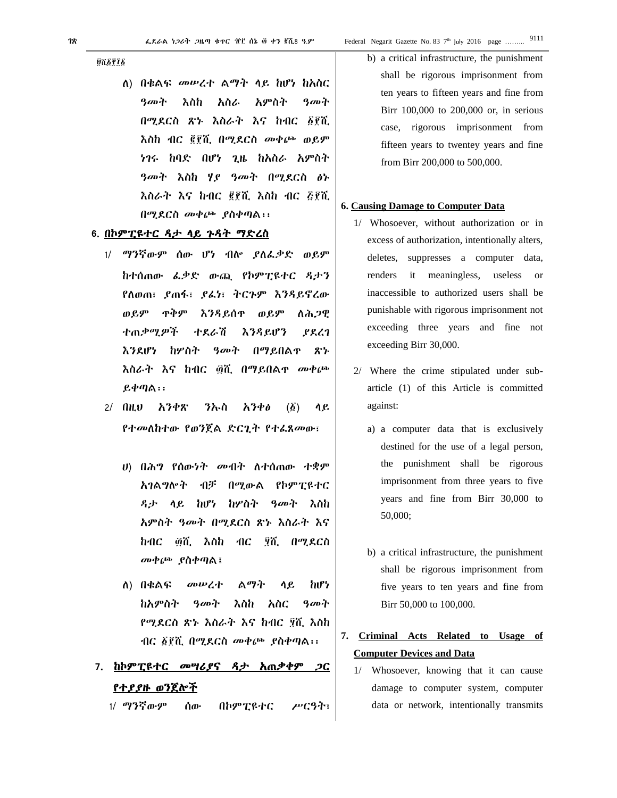**Ú**tāria

ለ) በቁልፍ መሠረተ ልማት ላይ ከሆነ ከአስር ዓመት እስከ አስራ አምስት ዓመት በሚደርስ ጽኑ እስራት እና ከብር ፩፻ሺ እስከ ብር ፪፻ሺ በሚደርስ መቀጮ ወይም ነገሩ ከባድ በሆነ ጊዜ ከአስራ አምስት ዓመት እስከ ሃያ ዓመት በሚደርስ ፅኑ እስራት እና ከብር ፪፻ሺ እስከ ብር ፭፻ሺ በሚደርስ መቀጮ ያስቀጣል፡፡

#### **6**. በኮምፒዩተር ዳታ ላይ ጉዳት ማድረስ

- 1/ ማንኛውም ሰው ሆነ ብሎ ያለፈቃድ ወይም ከተሰጠው ፈቃድ ውጪ የኮምፒዩተር ዳታን የለወጠ፣ ያጠፋ፣ ያፈነ፣ ትርጉም እንዳይኖረው ወይም ጥቅም እንዳይሰጥ ወይም ለሕጋዊ ተጠቃሚዎች ተደራሽ እንዳይሆን ያደረገ እንደሆነ ከሦስት ዓመት በማይበልጥ ጽኑ እስራት እና ከብር ፴ሺ በማይበልጥ መቀጮ ይቀጣል፡፡
- 2/ በዚህ አንቀጽ ንኡስ አንቀፅ (፩) ላይ የተመለከተው የወንጀል ድርጊት የተፈጸመው፣
	- ሀ) በሕግ የሰውነት መብት ለተሰጠው ተቋም አገልግሎት ብቻ በሚውል የኮምፒዩተር ዳታ ላይ ከሆነ ከሦስት ዓመት እስከ አምስት ዓመት በሚደርስ ጽኑ እስራት እና ከብር ፴ሺ እስከ ብር ፶ሺ በሚደርስ መቀጮ ያስቀጣል፤
	- ለ) በቁልፍ መሠረተ ልማት ላይ ከሆነ ከአምስት ዓመት እስከ አስር ዓመት የሚደርስ ጽኑ እስራት እና ከብር ፶ሺ እስከ ብር ፩፻ሺ በሚደርስ መቀጮ ያስቀጣል፡፡

# **7**. ከኮምፒዩተር መሣሪያና ዳታ አጠቃቀም ጋር የተያያዙ ወንጀሎች

1/ ማንኛውም ሰው በኮምፒዩተር ሥርዓት፣

b) a critical infrastructure, the punishment shall be rigorous imprisonment from ten years to fifteen years and fine from Birr 100,000 to 200,000 or, in serious case, rigorous imprisonment from fifteen years to twentey years and fine from Birr 200,000 to 500,000.

#### **6. Causing Damage to Computer Data**

- 1/ Whosoever, without authorization or in excess of authorization, intentionally alters, deletes, suppresses a computer data, renders it meaningless, useless or inaccessible to authorized users shall be punishable with rigorous imprisonment not exceeding three years and fine not exceeding Birr 30,000.
- 2/ Where the crime stipulated under subarticle (1) of this Article is committed against:
	- a) a computer data that is exclusively destined for the use of a legal person, the punishment shall be rigorous imprisonment from three years to five years and fine from Birr 30,000 to 50,000;
	- b) a critical infrastructure, the punishment shall be rigorous imprisonment from five years to ten years and fine from Birr 50,000 to 100,000.
- **7. Criminal Acts Related to Usage of Computer Devices and Data** 
	- 1/ Whosoever, knowing that it can cause damage to computer system, computer data or network, intentionally transmits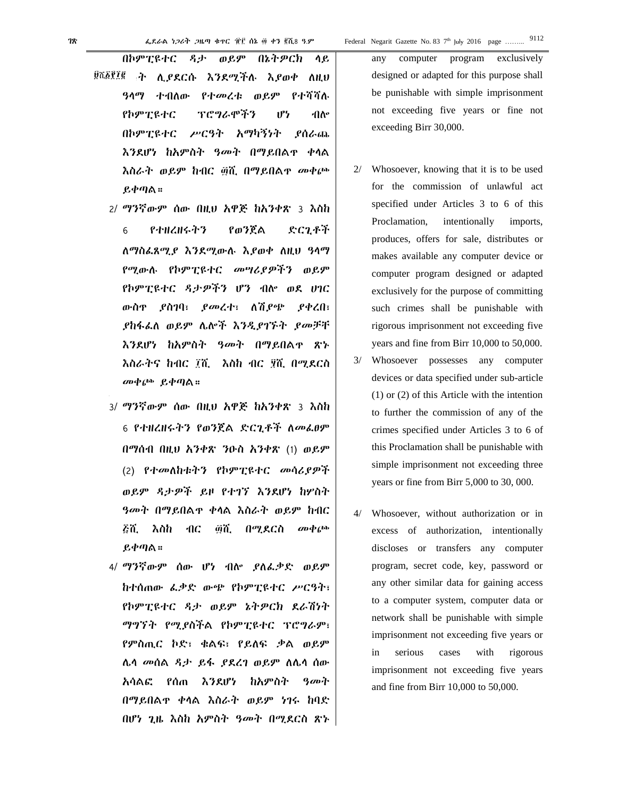- በኮምፒዩተር ዳታ ወይም በኔትዎርክ ላይ <sup>፱ሺ፩፻፻፪</sup> ት ሊ*ያ*ደርሱ እንደሚችሉ እ*ያ*ወቀ ለዚህ ዓላማ ተብለው የተመረቱ ወይም የተሻሻሉ የኮምፒዩተር ፕሮግራሞችን ሆነ ብሎ በኮምፒዩተር ሥርዓት አማካኝነት ያሰራጨ እንደሆነ ከአምስት ዓመት በማይበልጥ ቀላል እስራት ወይም ከብር ፴ሺ በማይበልጥ መቀጮ ይቀጣል።
	- 2/ ማንኛውም ሰው በዚህ አዋጅ ከአንቀጽ 3 እስከ 6 የተዘረዘሩትን የወንጀል ድርጊቶች ለማስፈጸሚያ እንደሚውሉ እያወቀ ለዚህ ዓላማ የሚውሉ የኮምፒዩተር መሣሪያዎችን ወይም የኮምፒዩተር ዳታዎችን ሆን ብሎ ወደ ሀገር ውስጥ ያስገባ፣ ያመረተ፣ ለሽያጭ ያቀረበ፣ ያከፋፈለ ወይም ሌሎች እንዲያገኙት ያመቻቸ እንደሆነ ከአምስት ዓመት በማይበልጥ ጽኑ እስራትና ከብር ፲ሺ እስከ ብር ፶ሺ በሚደርስ መቀጮ ይቀጣል።
	- 3/ ማንኛውም ሰው በዚህ አዋጅ ከአንቀጽ 3 እስከ 6 የተዘረዘሩትን የወንጀል ድርጊቶች ለመፈፀም በማሰብ በዚህ አንቀጽ ንዑስ አንቀጽ (1) ወይም (2) የተመለከቱትን የኮምፒዩተር መሳሪያዎች ወይም ዳታዎች ይዞ የተገኘ እንደሆነ ከሦስት ዓመት በማይበልጥ ቀላል እስራት ወይም ከብር ፭ሺ እስከ ብር ፴ሺ በሚደርስ መቀጮ ይቀጣል።
	- 4/ ማንኛውም ሰው ሆነ ብሎ ያለፈቃድ ወይም ከተሰጠው ፈቃድ ውጭ የኮምፒዩተር ሥርዓት፣ የኮምፒዩተር ዳታ ወይም ኔትዎርክ ደራሽነት ማግኘት የሚያስችል የኮምፒዩተር ፕሮግራም፣ የምስጢር ኮድ፣ ቁልፍ፣ የይለፍ ቃል ወይም ሌላ መሰል ዳታ ይፋ ያደረገ ወይም ለሌላ ሰው አሳልፎ የሰጠ እንደሆነ ከአምስት ዓመት በማይበልጥ ቀላል እስራት ወይም ነገሩ ከባድ በሆነ ጊዜ እስከ አምስት ዓመት በሚደርስ ጽኑ

any computer program exclusively designed or adapted for this purpose shall be punishable with simple imprisonment not exceeding five years or fine not exceeding Birr 30,000.

- 2/ Whosoever, knowing that it is to be used for the commission of unlawful act specified under Articles 3 to 6 of this Proclamation, intentionally imports, produces, offers for sale, distributes or makes available any computer device or computer program designed or adapted exclusively for the purpose of committing such crimes shall be punishable with rigorous imprisonment not exceeding five years and fine from Birr 10,000 to 50,000.
- 3/ Whosoever possesses any computer devices or data specified under sub-article (1) or (2) of this Article with the intention to further the commission of any of the crimes specified under Articles 3 to 6 of this Proclamation shall be punishable with simple imprisonment not exceeding three years or fine from Birr 5,000 to 30, 000.
- Whosoever, without authorization or in excess of authorization, intentionally discloses or transfers any computer program, secret code, key, password or any other similar data for gaining access to a computer system, computer data or network shall be punishable with simple imprisonment not exceeding five years or in serious cases with rigorous imprisonment not exceeding five years and fine from Birr 10,000 to 50,000.

9112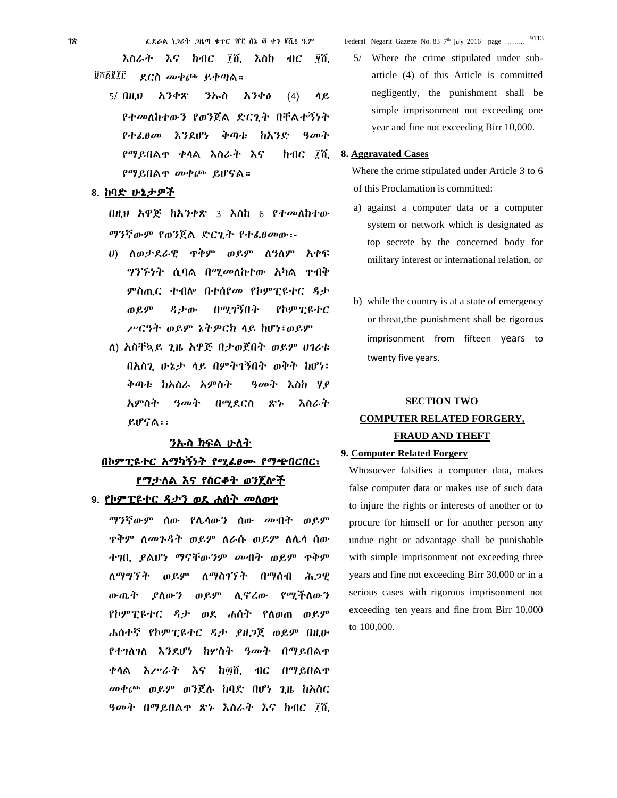5/ Where the crime stipulated under subarticle (4) of this Article is committed negligently, the punishment shall be simple imprisonment not exceeding one year and fine not exceeding Birr 10,000.

#### **8. Aggravated Cases**

Where the crime stipulated under Article 3 to 6 of this Proclamation is committed:

- a) against a computer data or a computer system or network which is designated as top secrete by the concerned body for military interest or international relation, or
- b) while the country is at a state of emergency or threat,the punishment shall be rigorous imprisonment from fifteen years to twenty five years.

# **SECTION TWO COMPUTER RELATED FORGERY, FRAUD AND THEFT**

### **9. Computer Related Forgery**

Whosoever falsifies a computer data, makes false computer data or makes use of such data to injure the rights or interests of another or to procure for himself or for another person any undue right or advantage shall be punishable with simple imprisonment not exceeding three years and fine not exceeding Birr 30,000 or in a serious cases with rigorous imprisonment not exceeding ten years and fine from Birr 10,000 to 100,000.

እስራት እና ከብር ፲ሺ እስከ ብር ፶ሺ በሚደርስ መቀጮ ይቀጣል። 5/ በዚህ አንቀጽ ንኡስ አንቀፅ (4) ላይ የተመለከተውን የወንጀል ድርጊት በቸልተኝነት የተፈፀመ እንደሆነ ቅጣቱ ከአንድ ዓመት የማይበልጥ ቀላል እስራት እና ከብር ፲ሺ <u>ŨሺĀŶĪſ</u>

የማይበልጥ መቀጮ ይሆናል።

**8**. ከባድ ሁኔታዎች

በዚህ አዋጅ ከአንቀጽ 3 እስከ 6 የተመለከተው ማንኛውም የወንጀል ድርጊት የተፈፀመው፡-

- ሀ) ለወታደራዊ ጥቅም ወይም ለዓለም አቀፍ ግንኙነት ሲባል በሚመለከተው አካል ጥብቅ ምስጢር ተብሎ በተሰየመ የኮምፒዩተር ዳታ ወይም ዳታው በሚገኝበት የኮምፒዩተር ሥርዓት ወይም ኔትዎርክ ላይ ከሆነ፤ወይም
- ለ) አስቸኳይ ጊዜ አዋጅ በታወጀበት ወይም ሀገሪቱ በአስጊ ሁኔታ ላይ በምትገኝበት ወቅት ከሆነ፤ ቅጣቱ ከአስራ አምስት ዓመት እስከ ሃያ አምስት ዓመት በሚደርስ ጽኑ እስራት ይሆናል፡፡

# <u>ንኡስ ክፍል ሁለት</u> በኮምፒዩተር አማካኝነት የሚፈፀሙ የማጭበርበር፣ <u>የማታለል እና የስርቆት ወንጀሎች</u>

### **9**. የኮምፒዩተር ዳታን ወደ ሐሰት መለወጥ

ማንኛውም ሰው የሌላውን ሰው መብት ወይም ጥቅም ለመጉዳት ወይም ለራሱ ወይም ለሌላ ሰው ተገቢ ያልሆነ ማናቸውንም መብት ወይም ጥቅም ለማግኘት ወይም ለማስገኘት በማሰብ ሕጋዊ ውጤት ያለውን ወይም ሊኖረው የሚችለውን የኮምፒዩተር ዳታ ወደ ሐሰት የለወጠ ወይም ሐሰተኛ የኮምፒዩተር ዳታ ያዘጋጀ ወይም በዚሁ የተገለገለ እንደሆነ ከሦስት ዓመት በማይበልጥ ቀላል እሥራት እና ከ፴ሺ ብር በማይበልጥ መቀጮ ወይም ወንጀሉ ከባድ በሆነ ጊዜ ከአስር ዓመት በማይበልጥ ጽኑ እስራት እና ከብር ፲ሺ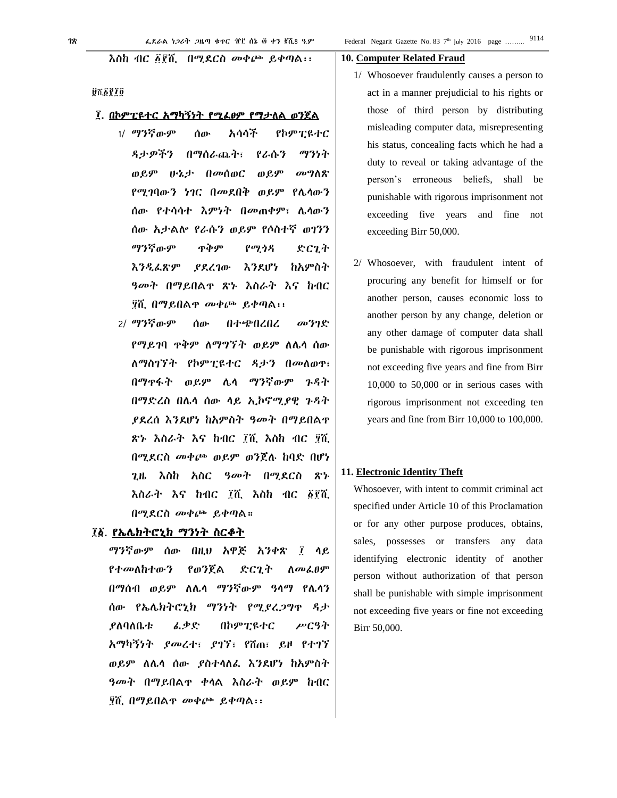#### እስከ ብር ፩፻ሺ በሚደርስ መቀጮ ይቀጣል፡፡

#### øñøriø

#### ፲. በኮምፒዩተር አማካኝነት የሚፈፀም የማታለል ወንጀል

- 1/ ማንኛውም ሰው አሳሳች የኮምፒዩተር ዳታዎችን በማሰራጨት፣ የራሱን ማንነት ወይም ሁኔታ በመሰወር ወይም መግለጽ የሚገባውን ነገር በመደበቅ ወይም የሌላውን ሰው የተሳሳተ እምነት በመጠቀም፣ ሌላውን ሰው አታልሎ የራሱን ወይም የሶስተኛ ወገንን ማንኛውም ጥቅም የሚጎዳ ድርጊት እንዲፈጽም ያደረገው እንደሆነ ከአምስት ዓመት በማይበልጥ ጽኑ እስራት እና ከብር ፶ሺ በማይበልጥ መቀጮ ይቀጣል፡፡
- 2/ ማንኛውም ሰው በተጭበረበረ መንገድ የማይገባ ጥቅም ለማግኘት ወይም ለሌላ ሰው ለማስገኘት የኮምፒዩተር ዳታን በመለወጥ፣ በማጥፋት ወይም ሌላ ማንኛውም ጉዳት በማድረስ በሌላ ሰው ላይ ኢኮኖሚያዊ ጉዳት ያደረሰ እንደሆነ ከአምስት ዓመት በማይበልጥ ጽኑ እስራት እና ከብር ፲ሺ እስከ ብር ፶ሺ በሚደርስ መቀጮ ወይም ወንጀሉ ከባድ በሆነ ጊዜ እስከ አስር ዓመት በሚደርስ ጽኑ እስራት እና ከብር ፲ሺ እስከ ብር ፩፻ሺ በሚደርስ መቀጮ ይቀጣል።

# ፲፩. የኤሌክትሮኒክ ማንነት ስርቆት

ማንኛውም ሰው በዚህ አዋጅ አንቀጽ ፲ ላይ የተመለከተውን የወንጀል ድርጊት ለመፈፀም በማሰብ ወይም ለሌላ ማንኛውም ዓላማ የሌላን ሰው የኤሌክትሮኒክ ማንነት የሚያረጋግጥ ዳታ ያለባለቤቱ ፈቃድ በኮምፒዩተር ሥርዓት አማካኝነት ያመረተ፣ ያገኘ፣ የሸጠ፣ ይዞ የተገኘ ወይም ለሌላ ሰው ያስተላለፈ እንደሆነ ከአምስት ዓመት በማይበልጥ ቀላል እስራት ወይም ከብር ፶ሺ በማይበልጥ መቀጮ ይቀጣል፡፡

#### **10. Computer Related Fraud**

- 1/ Whosoever fraudulently causes a person to act in a manner prejudicial to his rights or those of third person by distributing misleading computer data, misrepresenting his status, concealing facts which he had a duty to reveal or taking advantage of the person's erroneous beliefs, shall be punishable with rigorous imprisonment not exceeding five years and fine not exceeding Birr 50,000.
- Whosoever, with fraudulent intent of procuring any benefit for himself or for another person, causes economic loss to another person by any change, deletion or any other damage of computer data shall be punishable with rigorous imprisonment not exceeding five years and fine from Birr 10,000 to 50,000 or in serious cases with rigorous imprisonment not exceeding ten years and fine from Birr 10,000 to 100,000.

#### **11. Electronic Identity Theft**

Whosoever, with intent to commit criminal act specified under Article 10 of this Proclamation or for any other purpose produces, obtains, sales, possesses or transfers any data identifying electronic identity of another person without authorization of that person shall be punishable with simple imprisonment not exceeding five years or fine not exceeding Birr 50,000.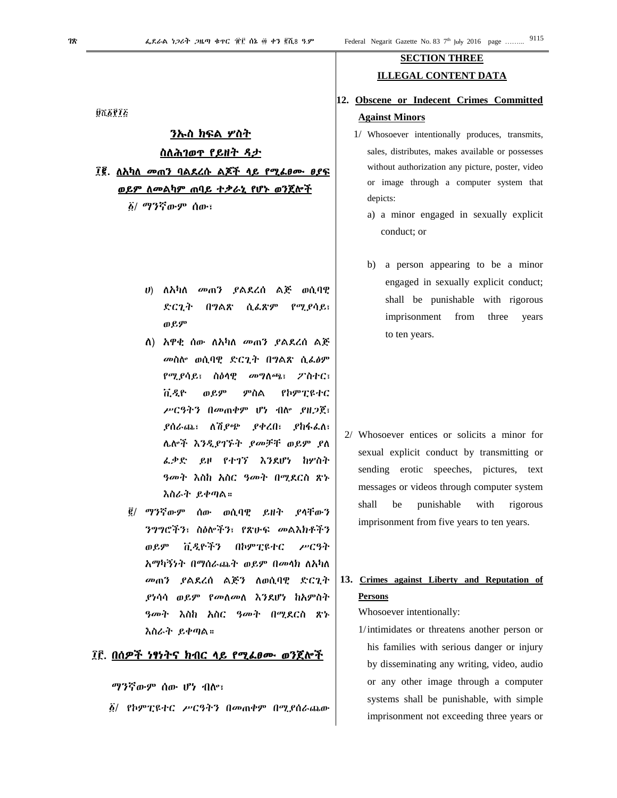**ÚTEPIE** 

# <u>ንኡስ ክፍል ሦስት</u> ስለሕገወዋ የይዘት ዳታ

፲፪. ስአካስ መጠን ባልደረሱ ልጆች ላይ የሚፌፀሙ ፀያፍ <u>ወይም ለመልካም ጠባይ ተቃራኒ የሆኑ ወንጀሎች</u>

δ/ ማንኛውም ሰው፣

- ሀ) ለአካለ መጠን ያልደረሰ ልጅ ወሲባዊ ድርጊት በግልጽ ሲፌጽም የሚያሳይ፣ ወይም
- ለ) አዋቂ ሰው ለአካለ መጠን ያልደረሰ ልጅ መስሎ ወሲባዊ ድርጊት በግልጽ ሲፌፅም የሚያሳይ፣ ስዕሳዊ *መግ*ለጫ፣ *2*`ስተር፣ ቪዲዮ ወይም ምስል የኮምፒዩተር ሥርዓትን በመጠቀም ሆነ ብሎ ያዘጋጀ፣ *ያስራ*ጫ፣ ለሽ*ያጭ ያቀረበ*፣ *ያከ*ፋፌስ፣ ሌሎች እንዲያገኙት ያመቻቸ ወይም ያለ ፌቃድ ይዞ የተገኘ እንደሆነ ከሦስት ዓመት እስከ አስር ዓመት በሚደርስ ጽኑ እስራት ይቀጣል።
- <u>፪</u>/ ማንኛውም ሰው ወሲባዊ ይዘት የሳቸውን ንግግሮችን፣ ስዕሎችን፣ የጽሁፍ መልእክቶችን ቪዲዮችን ጠ *P.*ም በኮምፒዩተር アピッキ አማካኝነት በማሰራጨት ወይም በመላክ ስአካለ መጠን ያልደረሰ ልጅን ለወሲባዊ ድርጊት ያነሳሳ ወይም የመለመለ እንደሆነ ከአምስት *ዓመት እ*ስከ አስር *ዓመት በሚ*ደርስ ጽኑ እስራት ይቀጣል።

# ፲፫. በሰዎች ነፃነትና ከብር ላይ የሚፌፀሙ ወንጀሎች

ማንኛውም ሰው ሆነ ብሎ፣

*፩/ የኮምፒዩተር ሥርዓትን በመ*ጠቀም በሚያሰራጨው

# **SECTION THREE ILLEGAL CONTENT DATA**

# 12. Obscene or Indecent Crimes Committed **Against Minors**

- 1/ Whosoever intentionally produces, transmits, sales, distributes, makes available or possesses without authorization any picture, poster, video or image through a computer system that depicts:
	- a) a minor engaged in sexually explicit conduct: or
	- a person appearing to be a minor b) engaged in sexually explicit conduct; shall be punishable with rigorous imprisonment from three years to ten years.

2/ Whosoever entices or solicits a minor for sexual explicit conduct by transmitting or sending erotic speeches, pictures, text messages or videos through computer system shall be punishable with rigorous imprisonment from five years to ten years.

# 13. Crimes against Liberty and Reputation of **Persons**

Whosoever intentionally:

1/intimidates or threatens another person or his families with serious danger or injury by disseminating any writing, video, audio or any other image through a computer systems shall be punishable, with simple imprisonment not exceeding three years or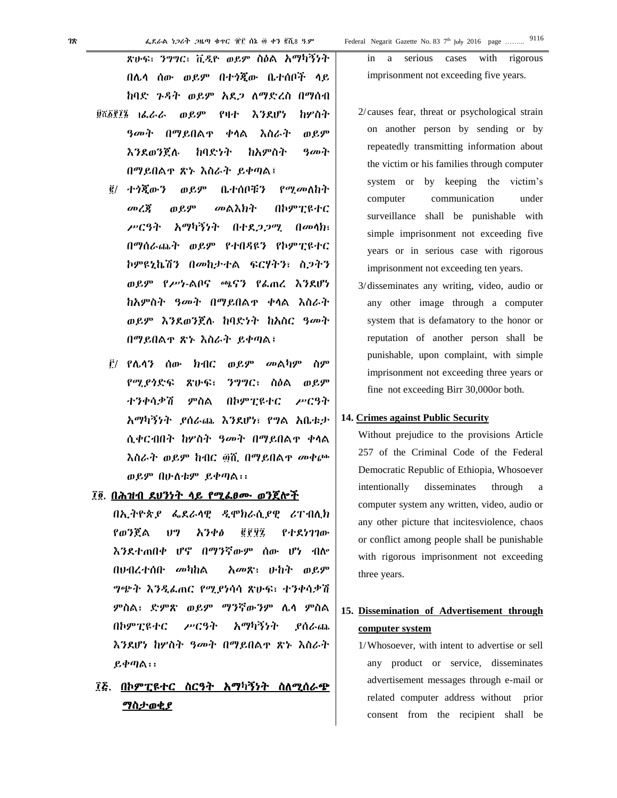ጽሁፍ፣ ንግግር፣ ቪዲዮ ወይም ስዕል አማካኝነት በሌላ ሰው ወይም በተጎጂው ቤተሰቦች ላይ ከባድ ጉዳት ወይም አደጋ ለማድረስ በማሰብ <sup>፱ሺ፩፻፻፮</sup> ١ፌራራ ወይም የዛተ እንደሆነ ከሦስተ ዓመት በማይበልጥ ቀላል እስራት ወይም

- እንደወንጀሉ ከባድነት ከአምስት ዓመት በማይበልጥ ጽኑ እስራት ይቀጣል፤
- ፪/ ተጎጂውን ወይም ቤተሰቦቹን የሚመለከት መረጃ ወይም መልእክት በኮምፒዩተር ሥርዓት አማካኝነት በተደጋጋሚ በመላክ፣ በማሰራጨት ወይም የተበዳዩን የኮምፒዩተር ኮምዩኒኬሽን በመከታተል ፍርሃትን፣ ስጋትን ወይም የሥነ-ልቦና ጫናን የፈጠረ እንደሆነ ከአምስት ዓመት በማይበልጥ ቀላል እስራት ወይም እንደወንጀሉ ከባድነት ከአስር ዓመት በማይበልጥ ጽኑ እስራት ይቀጣል፤
- ፫/ የሌላን ሰው ክብር ወይም መልካም ስም የሚያጎድፍ ጽሁፍ፣ ንግግር፣ ስዕል ወይም ተንቀሳቃሽ ምስል በኮምፒዩተር ሥርዓት አማካኝነት ያሰራጨ እንደሆነ፣ የግል አቤቱታ ሲቀርብበት ከሦስት ዓመት በማይበልጥ ቀላል እስራት ወይም ከብር ፴ሺ በማይበልጥ መቀጮ ወይም በሁለቱም ይቀጣል፡፡

#### ፲፬. በሕዝብ ደህንነት ላይ የሚፈፀሙ ወንጀሎች

በኢትዮጵያ ፌደራላዊ ዲሞክራሲያዊ ሪፐብሊክ የወንጀል ህግ አንቀፅ ፪፻፶፯ የተደነገገው እንደተጠበቀ ሆኖ በማንኛውም ሰው ሆነ ብሎ በህብረተሰቡ መካከል አመጽ፣ ሁከት ወይም ግጭት እንዲፈጠር የሚያነሳሳ ጽሁፍ፣ ተንቀሳቃሽ ምስል፣ ድምጽ ወይም ማንኛውንም ሌላ ምስል በኮምፒዩተር ሥርዓት አማካኝነት ያሰራጨ እንደሆነ ከሦስት ዓመት በማይበልጥ ጽኑ እስራት ይቀጣል፡፡

# ፲፭. በኮምፒዩተር ስርዓት አማካኝነት ስለሚሰራጭ ማስታወቂያ

in a serious cases with rigorous imprisonment not exceeding five years.

 $^{th}$  July 2016 page .........

- 2/ causes fear, threat or psychological strain on another person by sending or by repeatedly transmitting information about the victim or his families through computer system or by keeping the victim's computer communication under surveillance shall be punishable with simple imprisonment not exceeding five years or in serious case with rigorous imprisonment not exceeding ten years.
- 3/disseminates any writing, video, audio or any other image through a computer system that is defamatory to the honor or reputation of another person shall be punishable, upon complaint, with simple imprisonment not exceeding three years or fine not exceeding Birr 30,000or both.

### **14. Crimes against Public Security**

Without prejudice to the provisions Article 257 of the Criminal Code of the Federal Democratic Republic of Ethiopia, Whosoever intentionally disseminates through a computer system any written, video, audio or any other picture that incitesviolence, chaos or conflict among people shall be punishable with rigorous imprisonment not exceeding three years.

# **15. Dissemination of Advertisement through computer system**

1/Whosoever, with intent to advertise or sell any product or service, disseminates advertisement messages through e-mail or related computer address without prior consent from the recipient shall be

9116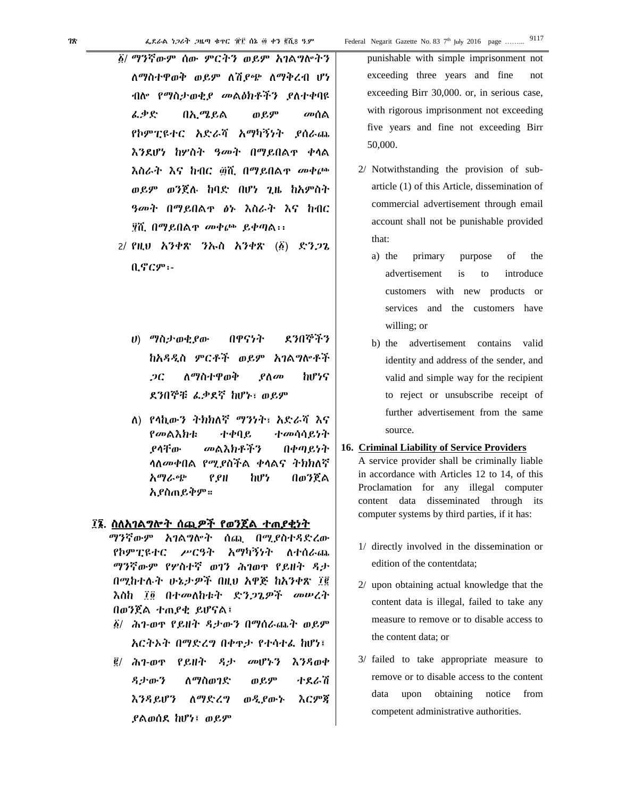- ፩/ ማንኛውም ሰው ምርትን ወይም አገልግሎትን ለማስተዋወቅ ወይም ለሽያጭ ለማቅረብ ሆነ ብሎ የማስታወቂያ መልዕክቶችን ያለተቀባዩ ፈቃድ በኢሜይል ወይም መሰል የኮምፒዩተር አድራሻ አማካኝነት ያሰራጨ እንደሆነ ከሦስት ዓመት በማይበልጥ ቀላል እስራት እና ከብር ፴ሺ በማይበልጥ መቀጮ ወይም ወንጀሉ ከባድ በሆነ ጊዜ ከአምስት ዓመት በማይበልጥ ፅኑ እስራት እና ከብር ፶ሺ በማይበልጥ መቀጮ ይቀጣል፡፡
- 2/ የዚህ አንቀጽ ንኡስ አንቀጽ (፩) ድንጋጌ ቢኖርም፡-
	- ሀ) ማስታወቂያው በዋናነት ደንበኞችን ከአዳዲስ ምርቶች ወይም አገልግሎቶች ጋር ለማስተዋወቅ ያለመ ከሆነና ደንበኞቹ ፈቃደኛ ከሆኑ፣ ወይም
	- ለ) የላኪውን ትክክለኛ ማንነት፣ አድራሻ እና የመልእክቱ ተቀባይ ተመሳሳይነት ያላቸው መልእክቶችን በቀጣይነት ላለመቀበል የሚያስችል ቀላልና ትክክለኛ አማራጭ የያዘ ከሆነ በወንጀል አያስጠይቅም።

#### ፲፮. ስለአገልግሎት ሰጪዎች የወንጀል ተጠያቂነት

ማንኛውም አገልግሎት ሰጪ በሚያስተዳድረው የኮምፒዩተር ሥርዓት አማካኝነት ለተሰራጨ ማንኛውም የሦስተኛ ወገን ሕገወጥ የይዘት ዳታ በሚከተሉት ሁኔታዎች በዚህ አዋጅ ከአንቀጽ ፲፪ እስከ ፲፬ በተመለከቱት ድንጋጌዎች መሠረት በወንጀል ተጠያቂ ይሆናል፤

- ፩/ ሕገ-ወጥ የይዘት ዳታውን በማሰራጨት ወይም አርትኦት በማድረግ በቀጥታ የተሳተፈ ከሆነ፤
- ፪/ ሕገ-ወጥ የይዘት ዳታ መሆኑን እንዳወቀ ዳታውን ለማስወገድ ወይም ተደራሽ እንዳይሆን ለማድረግ ወዲያውኑ እርምጃ ያልወሰደ ከሆነ፤ ወይም

punishable with simple imprisonment not exceeding three years and fine not exceeding Birr 30,000. or, in serious case, with rigorous imprisonment not exceeding five years and fine not exceeding Birr 50,000.

- 2/ Notwithstanding the provision of subarticle (1) of this Article, dissemination of commercial advertisement through email account shall not be punishable provided that:
	- a) the primary purpose of the advertisement is to introduce customers with new products or services and the customers have willing; or
	- b) the advertisement contains valid identity and address of the sender, and valid and simple way for the recipient to reject or unsubscribe receipt of further advertisement from the same source.

#### **16. Criminal Liability of Service Providers**

A service provider shall be criminally liable in accordance with Articles 12 to 14, of this Proclamation for any illegal computer content data disseminated through its computer systems by third parties, if it has:

- 1/ directly involved in the dissemination or edition of the contentdata;
- 2/ upon obtaining actual knowledge that the content data is illegal, failed to take any measure to remove or to disable access to the content data; or
- 3/ failed to take appropriate measure to remove or to disable access to the content data upon obtaining notice from competent administrative authorities.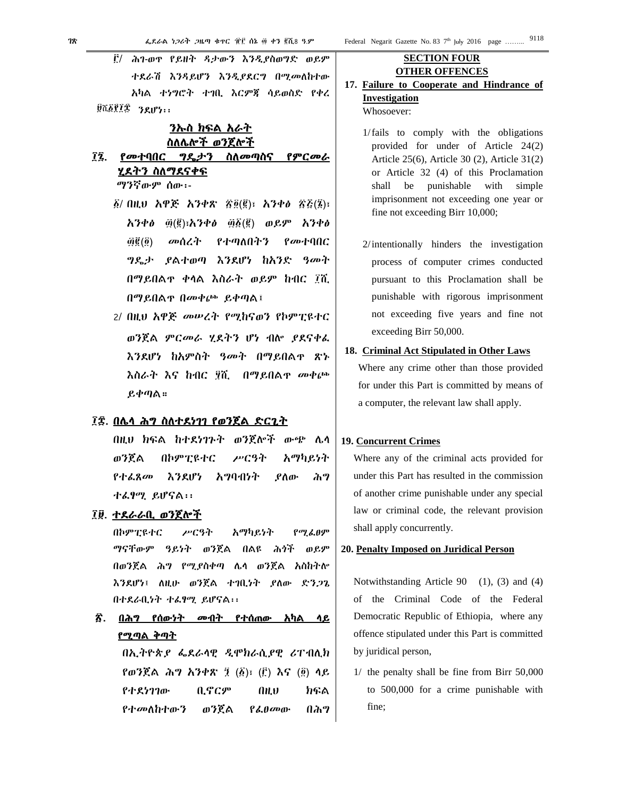፫/ ሕገ-ወጥ የይዘት ዳታውን እንዲያስወግድ ወይም ተደራሽ እንዳይሆን እንዲያደርግ በሚመለከተው አካል ተነግሮት ተገቢ እርምጃ ሳይወስድ የቀረ ፱ሺ፩፻፲፰ ንደሆነ፡፡

# ንኡስ ክፍል አራት ስለሌሎች ወንጀሎች

# ፲፯. የመተባበር ግዴታን ስለመጣስና የምርመራ ሂደትን ስለማደናቀፍ

ማንኛውም ሰው፡-

- ፩/ በዚህ አዋጅ አንቀጽ ፳፬(፪)፣ አንቀፅ ፳፭(፮)፣ አንቀፅ ፴(፪)፣አንቀፅ ፴፩(፪) ወይም አንቀፅ ፴፪(፬) መሰረት የተጣለበትን የመተባበር ግዴታ ያልተወጣ እንደሆነ ከአንድ ዓመት በማይበልጥ ቀላል እስራት ወይም ከብር ፲ሺ በማይበልጥ በመቀጮ ይቀጣል፤
- 2/ በዚህ አዋጅ መሠረት የሚከናወን የኮምፒዩተር ወንጀል ምርመራ ሂደትን ሆነ ብሎ ያደናቀፈ እንደሆነ ከአምስት ዓመት በማይበልጥ ጽኑ እስራት እና ከብር ፶ሺ በማይበልጥ መቀጮ ይቀጣል።

# ፲፰. በሌላ ሕግ ስለተደነገገ የወንጀል ድርጊት

በዚህ ክፍል ከተደነገጉት ወንጀሎች ውጭ ሌላ ወንጀል በኮምፒዩተር ሥርዓት አማካይነት የተፈጸመ እንደሆነ አግባብነት ያለው ሕግ ተፈፃሚ ይሆናል፡፡

# ፲፱. ተደራራቢ ወንጀሎች

በኮምፒዩተር ሥርዓት አማካይነት የሚፈፀም ማናቸውም ዓይነት ወንጀል በልዩ ሕጎች ወይም በወንጀል ሕግ የሚያስቀጣ ሌላ ወንጀል አስከትሎ እንደሆነ፤ ለዚሁ ወንጀል ተገቢነት ያለው ድንጋጌ በተደራቢነት ተፈፃሚ ይሆናል፡፡

፳. በሕግ የሰውነት መብት የተሰጠው አካል ላይ <u>የሚጣል ቅጣት</u>

> በኢትዮጵያ ፌደራላዊ ዲሞክራሲያዊ ሪፐብሊክ የወንጀል ሕግ አንቀጽ ፺ (፩)፣ (፫) እና (፬) ላይ የተደነገገው ቢኖርም በዚህ ክፍል የተመለከተውን ወንጀል የፈፀመው በሕግ

# **SECTION FOUR OTHER OFFENCES**

- **17. Failure to Cooperate and Hindrance of Investigation**  Whosoever:
	- 1/fails to comply with the obligations provided for under of Article 24(2) Article 25(6), Article 30 (2), Article 31(2) or Article 32 (4) of this Proclamation shall be punishable with simple imprisonment not exceeding one year or fine not exceeding Birr 10,000;
	- 2/intentionally hinders the investigation process of computer crimes conducted pursuant to this Proclamation shall be punishable with rigorous imprisonment not exceeding five years and fine not exceeding Birr 50,000.
- **18. Criminal Act Stipulated in Other Laws**

Where any crime other than those provided for under this Part is committed by means of a computer, the relevant law shall apply.

### **19. Concurrent Crimes**

Where any of the criminal acts provided for under this Part has resulted in the commission of another crime punishable under any special law or criminal code, the relevant provision shall apply concurrently.

#### **20. Penalty Imposed on Juridical Person**

Notwithstanding Article 90 (1), (3) and (4) of the Criminal Code of the Federal Democratic Republic of Ethiopia, where any offence stipulated under this Part is committed by juridical person,

1/ the penalty shall be fine from Birr 50,000 to 500,000 for a crime punishable with fine;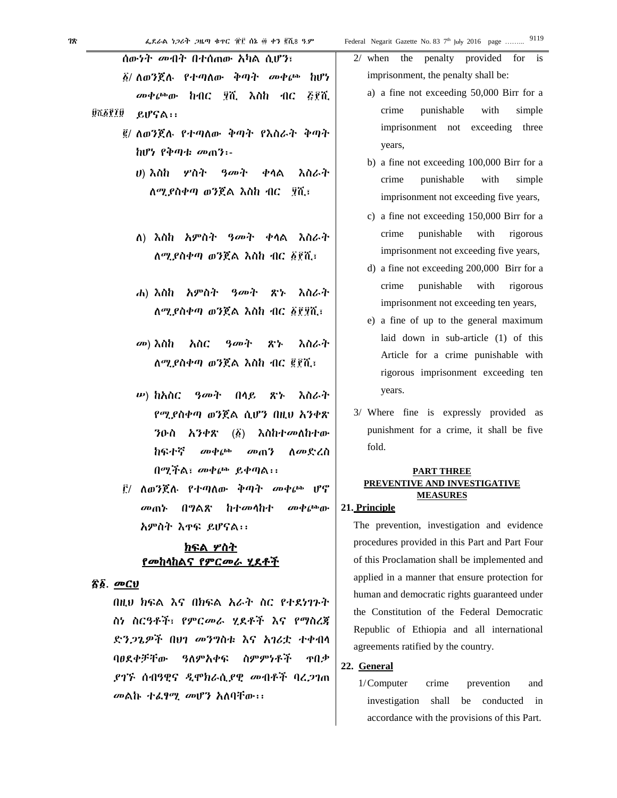| 78 | ፌደራል ነጋሪት ጋዜጣ ቁተር ፹፫ ሰኔ ፴ ቀን ፪ሺ8 ዓ.ም                  | Federal Negarit Gazette No. 83 7               |
|----|-------------------------------------------------------|------------------------------------------------|
|    | ሰውነት መብት በተሰጠው እካል ሲሆን፣                               | $2/$ when<br>the penal                         |
|    | ፩/ ለወንጀለ የተጣለው ቅጣት መቀ <sub></sub> ጮ<br>hv7            | imprisonment, the p                            |
|    | ኩብር ፶ሺ እስከ ብር ፭፻ሺ<br><i>መቀ</i> ጮው                     | a) a fine not excee                            |
|    | QUESTIQ<br>ይሆናል፡፡                                     | crime<br>punish                                |
|    | ፪/ ለወንጀለ የተጣለው ቅጣት የእስራት ቅጣት                          | imprisonment                                   |
|    | ከሆነ የቅጣቱ መጠን፡-                                        | years,                                         |
|    | ሀ) እስከ <i>ሦ</i> ስት <i>ዓመት</i> ቀላል<br>እስራት             | b) a fine not excee                            |
|    | ለሚያስቀጣ ወንጀል እስከ ብር _ ፶ሺ፤                              | crime<br>punish                                |
|    |                                                       | imprisonment no                                |
|    |                                                       | c) a fine not excee                            |
|    | ለ) እስከ አምስት    ዓመት ቀላል እስራት                           | crime<br>punisha                               |
|    | ለሚያስቀጣ ወንጀል እስከ ብር ፩፻ሺ፣                               | imprisonment no                                |
|    |                                                       | d) a fine not exceed                           |
|    | ሐ) እስከ አምስት    ዓመት ጽኑ<br>እስራት                         | crime<br>punisha                               |
|    | ለሚያስቀጣ ወንጀል እስከ ብር ፩፻፶ሺ፣                              | imprisonment no<br>e) a fine of up to          |
|    |                                                       | laid down in                                   |
|    | <i>መ</i> ) እስከ<br>አስር <i>ዓመት</i> ጽኑ<br>እስራት           | Article for a o                                |
|    | ለሚያስቀጣ ወንጀል እስከ ብር ፪፻ሺ፣                               | rigorous impris                                |
|    |                                                       | years.                                         |
|    | <i>ω</i> ) ከአስር <i>ዓመት</i> በላይ ጽኑ<br>እስራት             |                                                |
|    | የሚያስቀጣ ወንጀል ሲሆን በዚህ አንቀጽ                              | 3/ Where fine is e<br>punishment for a         |
|    | ንዑስ አንቀጽ $(\vec{\beta})$ እስከተመለከተው                    | fold.                                          |
|    | ከፍተኛ<br><i>መቀ</i> ጮ<br>መጠን<br><b>ስመድረስ</b>            |                                                |
|    | በሚችል፣ መቀጮ ይቀጣል፡፡                                      | PART TI<br><b>PREVENTIVE AND</b>               |
|    | ፫/ ለወንጀለ የተጣለው ቅጣት <i>መ</i> ቀጮ ሆኖ                     | <b>MEASU</b>                                   |
|    | በግልጽ ከተመላከተ መቀጮው<br>መጠኑ                               | 21. Principle                                  |
|    | አምስት እዋፍ ይሆናል፡፡                                       | The prevention, inves                          |
|    | <u>ክፍል ሦስት</u>                                        | procedures provided in                         |
|    | <u>የመከላከልና የምርመራ ሂደቶች</u>                             | of this Proclamation sh                        |
|    | <u>ኛ፩. መርሀ</u>                                        | applied in a manner th                         |
|    | በዚህ ክፍል እና በክፍል አራት ስር የተደነገጉት                        | human and democratic                           |
|    | ስነ ስርዓቶች፣ የምርመራ ሂደቶች እና የማስረጃ                         | the Constitution of th                         |
|    | ድንጋጌዎች በሀገ መንግስቱ እና አገሪቷ ተቀብሳ                         | Republic of Ethiopia<br>agreements ratified by |
|    | ባፀደቀቻቸው ዓለምአቀፍ ስምምነቶች<br><b>T</b>                     | 22. General                                    |
|    | <i>ያገኙ</i> ሰብዓዊና ዲሞክራሲ <i>ያ</i> ዊ መብቶች ባረ <i>ጋ</i> ገጠ | 1/Computer<br>crime                            |
|    | መልኩ ተፌፃሚ መሆን አለባቸው፡፡                                  | investigation shal                             |

lty provided for is penalty shall be: eding 50,000 Birr for a nable with simple not exceeding three

eding 100,000 Birr for a nable with simple ot exceeding five years,

- eding 150,000 Birr for a able with rigorous ot exceeding five years,
- ding  $200,000$  Birr for a able with rigorous ot exceeding ten years,
- the general maximum sub-article (1) of this crime punishable with sonment exceeding ten
- expressly provided as crime, it shall be five

### **HREE INVESTIGATIVE MEASURES**

stigation and evidence n this Part and Part Four hall be implemented and nat ensure protection for rights guaranteed under he Federal Democratic and all international the country.

e prevention and investigation shall be conducted in accordance with the provisions of this Part.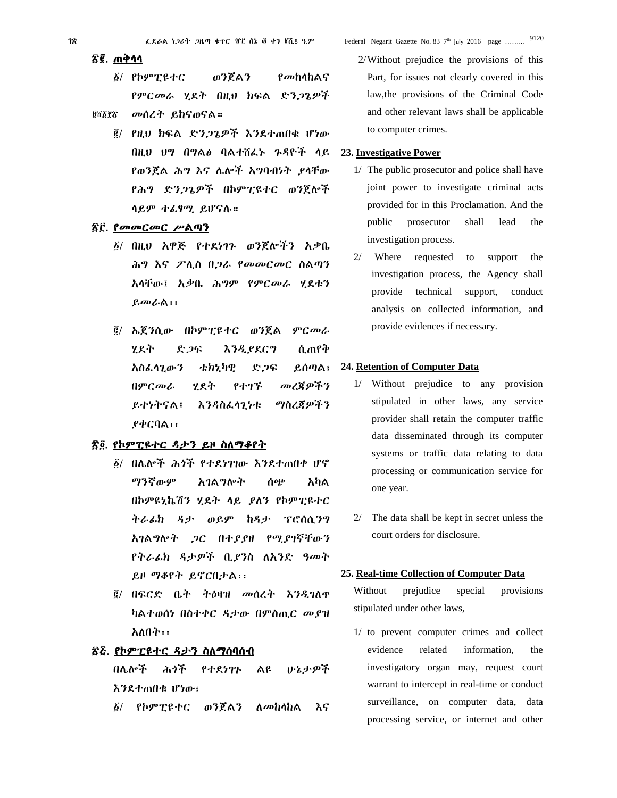# ፳፪. ጠቅሳሳ

- ወንጀልን ፩/ የኮምፒዩተር የመከላከልና የምርመራ ሃደት በዚህ ክፍል ድንጋጌዎች
- ፱ሺ፩፻፳ መሰረት ይከናወናል።
	- ፪/ የዚህ ክፍል ድንጋጌዎች እንደተጠበቁ ሆነው በዚህ ሀግ በግልፅ ባልተሽፌኑ ጉዳዮች ላይ የወንጀል ሕግ እና ሌሎች አግባብነት ያሳቸው የሕግ ድንጋጌዎች በኮምፒዩተር ወንጀሎች ሳይም ተፌፃሚ ይሆናሉ።

### ሽ፫ የመመርመር ሥልጣን

- ፩/ በዚህ አዋጅ የተደነገጉ ወንጀሎችን አቃቤ ሕግ እና ፖሊስ በጋራ የመመርመር ስልጣን አላቸው፤ አቃቤ ሕግም የምርመራ ሂደቱን  $\rho$ መራል፡፡
- ፪/ ኤጀንሲው በኮምፒዩተር ወንጀል ምርመራ ሃደት <u>እንዲያደርግ</u> ሲጠየቅ ድጋፍ አስፌሳጊውን ቴክኒካዊ ድጋፍ ይሰጣል፣ በምርመራ ሂደት የተገኙ መረጃዎችን ማስረጀዎችን ይተነትናል፤ እንዳስፌላጊነቱ  $P \phi C \Omega$ ል፡፡

# <u>ኛ፬. የኮምፒዩተር ዳታን ይዞ ስለማቆየት</u>

- δ/ በሌሎች ሕጎች የተደነገገው እንደተጠበቀ ሆኖ ማንኛውም አንልማሎት ሰጭ አካል በኮምዩኒኬሽን ሂደት ላይ ያለን የኮምፒዩተር ትራፊክ ዳታ ወይም ከዳታ ፕሮሰሲንግ አገልግሎት ጋር በተያያዘ የሚያገኛቸውን የትራፊክ ዳታዎች ቢያንስ ለአንድ ዓመት ይዞ ማቆየት ይኖርበታል፡፡
- ፪/ በፍርድ ቤት ትዕዛዝ መሰረት እንዲገለዋ ካልተወሰነ በስተቀር ዳታው በምስጢር መያዝ አለበት፡፡

# ፳፭. የኮምፒዩተር ዳታን ስለማሰባሰብ

በሌሎች ሕጎች የተደነገጉ ልዩ ふとナダネ እንደተጠበቁ ሆነው፣

የኮምፒዩተር ወንጀልን  $\delta/$ ለ*መከ*ሳከል እና 2/Without prejudice the provisions of this Part, for issues not clearly covered in this law, the provisions of the Criminal Code and other relevant laws shall be applicable to computer crimes.

#### 23. Investigative Power

- 1/ The public prosecutor and police shall have joint power to investigate criminal acts provided for in this Proclamation. And the public prosecutor shall lead  $th$ e investigation process.
- $2/$  Where requested to support the investigation process, the Agency shall provide technical support, conduct analysis on collected information, and provide evidences if necessary.

#### 24. Retention of Computer Data

- 1/ Without prejudice to any provision stipulated in other laws, any service provider shall retain the computer traffic data disseminated through its computer systems or traffic data relating to data processing or communication service for one year.
- 2/ The data shall be kept in secret unless the court orders for disclosure.

#### 25. Real-time Collection of Computer Data

Without prejudice special provisions stipulated under other laws,

1/ to prevent computer crimes and collect evidence related information, the investigatory organ may, request court warrant to intercept in real-time or conduct surveillance, on computer data, data processing service, or internet and other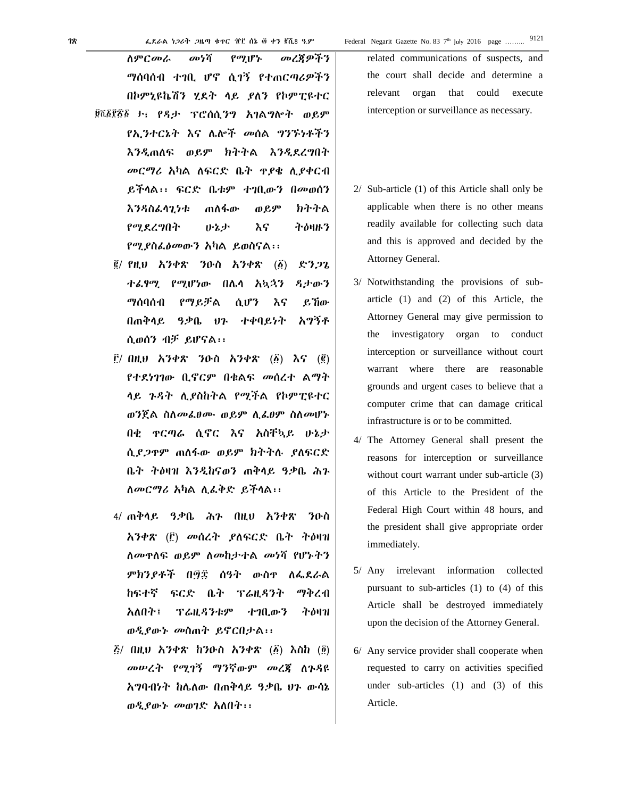ለምርመራ መነሻ የሚሆኑ መረጃዎችን ማሰባሰብ ተገቢ ሆኖ ሲገኝ የተጠርጣሪዎችን በኮምኒዩኬሽን ሂደት ላይ ያለን የኮምፒዩተር ፱ሺ፩፻፳፩ ৮፣ የዳታ ፕሮሰሲንግ አገልግሎት ወይም የኢንተርኔት እና ሌሎች መሰል ግንኙነቶችን እንዲጠለፍ ወይም ክትትል እንዲደረግበት መርማሪ አካል ለፍርድ ቤት ጥያቄ ሊያቀርብ ይችላል፡፡ ፍርድ ቤቱም ተገቢውን በመወሰን እንዳስፈላጊነቱ ጠለፋው ወይም ክትትል የሚደረግበት ሁኔታ እና ትዕዛዙን የሚያስፈፅመውን አካል ይወስናል፡፡

- ፪/ የዚህ አንቀጽ ንዑስ አንቀጽ (፩) ድንጋጌ ተፈፃሚ የሚሆነው በሌላ አኳኋን ዳታውን ማሰባሰብ የማይቻል ሲሆን እና ይኸው በጠቅላይ ዓቃቤ ህጉ ተቀባይነት አግኝቶ ሲወሰን ብቻ ይሆናል፡፡
- ፫/ በዚህ አንቀጽ ንዑስ አንቀጽ (፩) እና (፪) የተደነገገው ቢኖርም በቁልፍ መሰረተ ልማት ላይ ጉዳት ሊያስከትል የሚችል የኮምፒዩተር ወንጀል ስለመፈፀሙ ወይም ሊፈፀም ስለመሆኑ በቂ ጥርጣሬ ሲኖር እና አስቸኳይ ሁኔታ ሲያጋጥም ጠለፋው ወይም ክትትሉ ያለፍርድ ቤት ትዕዛዝ እንዲከናወን ጠቅላይ ዓቃቤ ሕጉ ለመርማሪ አካል ሊፈቅድ ይችላል፡፡
- 4/ ጠቅላይ ዓቃቤ ሕጉ በዚህ አንቀጽ ንዑስ አንቀጽ (፫) መሰረት ያለፍርድ ቤት ትዕዛዝ ለመጥለፍ ወይም ለመከታተል መነሻ የሆኑትን ምክንያቶች በ፵፰ ሰዓት ውስጥ ለፌደራል ከፍተኛ ፍርድ ቤት ፕሬዚዳንት ማቅረብ አለበት፤ ፕሬዚዳንቱም ተገቢውን ትዕዛዝ ወዲያውኑ መስጠት ይኖርበታል፡፡
- ፭/ በዚህ አንቀጽ ከንዑስ አንቀጽ (፩) እስከ (፬) መሠረት የሚገኝ ማንኛውም መረጃ ለጉዳዩ አግባብነት ከሌለው በጠቅላይ ዓቃቤ ህጉ ውሳኔ ወዲያውኑ መወገድ አለበት፡፡

related communications of suspects, and the court shall decide and determine a relevant organ that could execute interception or surveillance as necessary.

- 2/ Sub-article (1) of this Article shall only be applicable when there is no other means readily available for collecting such data and this is approved and decided by the Attorney General.
- 3/ Notwithstanding the provisions of subarticle (1) and (2) of this Article, the Attorney General may give permission to the investigatory organ to conduct interception or surveillance without court warrant where there are reasonable grounds and urgent cases to believe that a computer crime that can damage critical infrastructure is or to be committed.
- 4/ The Attorney General shall present the reasons for interception or surveillance without court warrant under sub-article  $(3)$ of this Article to the President of the Federal High Court within 48 hours, and the president shall give appropriate order immediately.
- 5/ Any irrelevant information collected pursuant to sub-articles (1) to (4) of this Article shall be destroyed immediately upon the decision of the Attorney General.
- 6/ Any service provider shall cooperate when requested to carry on activities specified under sub-articles (1) and (3) of this Article.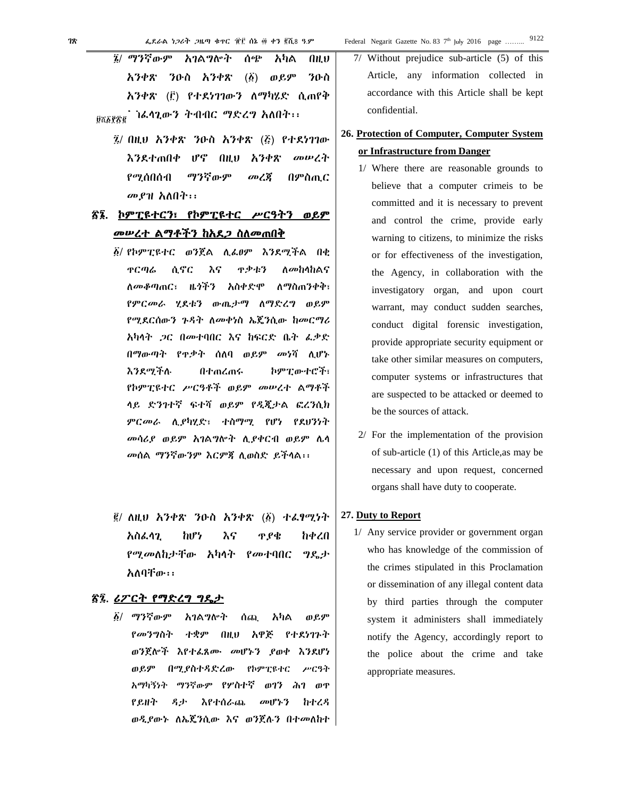፯/ በዚህ አንቀጽ ንዑስ አንቀጽ (፭) የተደነገገው እንደተጠበቀ ሆኖ በዚህ አንቀጽ መሠረት የሚሰበሰብ ማንኛውም መረጃ በምስጢር መያዝ አለበት፡፡

# ፳፮. ኮምፒዩተርን፣ የኮምፒዩተር ሥርዓትን ወይም መሠረተ ልማቶችን ከአደጋ ስለመጠበቅ

- ፩/ የኮምፒዩተር ወንጀል ሊፈፀም እንደሚችል በቂ ጥርጣሬ ሲኖር እና ጥቃቱን ለመከላከልና ለመቆጣጠር፣ ዜጎችን አስቀድሞ ለማስጠንቀቅ፣ የምርመራ ሂደቱን ውጤታማ ለማድረግ ወይም የሚደርሰውን ጉዳት ለመቀነስ ኤጄንሲው ከመርማሪ አካላት ጋር በመተባበር እና ከፍርድ ቤት ፈቃድ በማውጣት የጥቃት ሰለባ ወይም መነሻ ሊሆኑ እንደሚችሉ በተጠረጠሩ ኮምፒውተሮች፣ የኮምፒዩተር ሥርዓቶች ወይም መሠረተ ልማቶች ላይ ድንገተኛ ፍተሻ ወይም የዲጂታል ፎረንሲክ ምርመራ ሊያካሂድ፣ ተስማሚ የሆነ የደህንነት መሳሪያ ወይም አገልግሎት ሊያቀርብ ወይም ሌላ መሰል ማንኛውንም እርምጃ ሊወስድ ይችላል፡፡
- ፪/ ለዚህ አንቀጽ ንዑስ አንቀጽ (፩) ተፈፃሚነት አስፈላጊ ከሆነ እና ጥያቄ ከቀረበ የሚመለከታቸው አካላት የመተባበር ግዴታ አለባቸው፡፡

# ፳፯. ሪፖርት የማድረግ ግዴታ

፩/ ማንኛውም አገልግሎት ሰጪ አካል ወይም የመንግስት ተቋም በዚህ አዋጅ የተደነገጉት ወንጀሎች እየተፈጸሙ መሆኑን ያወቀ እንደሆነ ወይም በሚያስተዳድረው የኮምፒዩተር ሥርዓት አማካኝነት ማንኛውም የሦስተኛ ወገን ሕገ ወጥ የይዘት ዳታ እየተሰራጨ መሆኑን ከተረዳ ወዲያውኑ ለኤጄንሲው እና ወንጀሉን በተመለከተ 7/ Without prejudice sub-article (5) of this Article, any information collected in accordance with this Article shall be kept confidential.

# **26. Protection of Computer, Computer System or Infrastructure from Danger**

- 1/ Where there are reasonable grounds to believe that a computer crimeis to be committed and it is necessary to prevent and control the crime, provide early warning to citizens, to minimize the risks or for effectiveness of the investigation, the Agency, in collaboration with the investigatory organ, and upon court warrant, may conduct sudden searches, conduct digital forensic investigation, provide appropriate security equipment or take other similar measures on computers, computer systems or infrastructures that are suspected to be attacked or deemed to be the sources of attack.
- 2/ For the implementation of the provision of sub-article (1) of this Article,as may be necessary and upon request, concerned organs shall have duty to cooperate.

### **27. Duty to Report**

1/ Any service provider or government organ who has knowledge of the commission of the crimes stipulated in this Proclamation or dissemination of any illegal content data by third parties through the computer system it administers shall immediately notify the Agency, accordingly report to the police about the crime and take appropriate measures.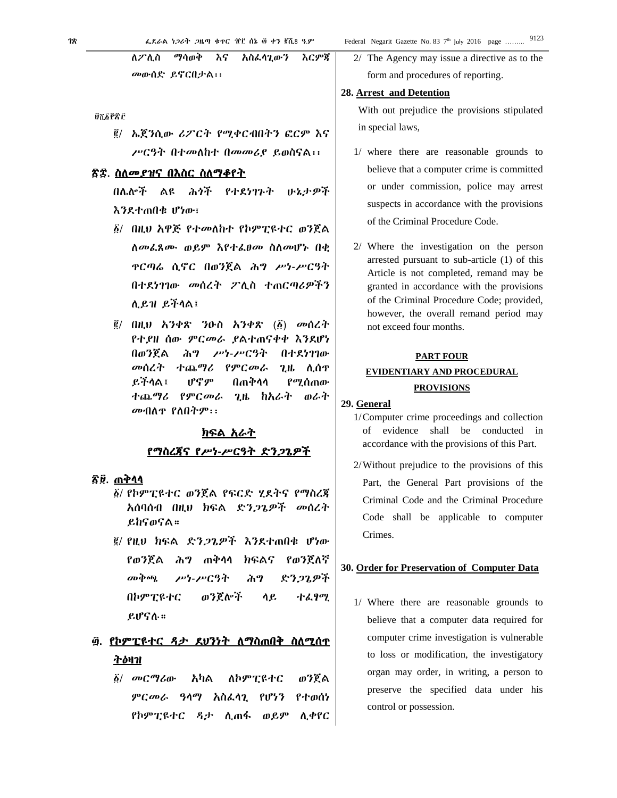ማሳወቅ እርምጃ ለ*2* ነለስ አስፌሳጊውን እና መውሰድ ይኖርበታል፡፡

**ÚTEPSC** 

፪/ ኤጀንሲው ሪፖርት የሚቀርብበትን ፎርም እና ሥርዓት በተመለከተ በመመሪያ ይወስናል፡፡

# <u>ጽ</u>ድ. ስለ*መያዝና* በእስር ስለማቆየት

በሌሎች ልዩ ሕጎች የተደነገጉት かねナダネ እንደተጠበቁ ሆነው፣

- ፩/ በዚህ አዋጅ የተመለከተ የኮምፒዩተር ወንጀል ለመፌጸሙ ወይም እየተፌፀመ ስለመሆኑ በቂ **ዋርጣሬ ሲኖር በወንጀል ሕግ ሥነ-ሥርዓት** በተደነገገው መሰረት ፖሊስ ተጠርጣሪዎችን  $A$   $R$  $H$   $R$  $H$  $A$  $R$  $\overline{R}$
- $\tilde{g}/$  በዚህ አንቀጽ ንዑስ አንቀጽ  $(\tilde{g})$  መሰረት የተያዘ ሰው ምርመራ ያልተጠናቀቀ እንደሆነ በወንጀል ሕግ ሥነ-ሥርዓት በተደነገገው መሰረት ተጨማሪ የምርመራ  $2.8$   $0.09$ ይችላል፤ ሆኖም በጠቅሳሳ የሚሰጠው ተጨ*ግሪ የምርመራ* ጊዜ ከአራተ ወራተ መብለዋ የለበትም፡፡

# <u>ክፍል አራት</u> የማስረጀና የሥነ-ሥርዓት ድንጋጌዎች

# ፳፱. ጠቅሳሳ

- ፩/ የኮምፒዩተር ወንጀል የፍርድ ሂደትና የማስረጃ አሰባሰብ በዚህ ክፍል ድን*ጋጌዎች መ*ሰረት ይከናወናል።
- ፪/ የዚህ ክፍል ድንጋጌዎች እንደተጠበቁ ሆነው የወንጀል ሕግ ጠቅሳሳ ክፍልና የወንጀለኛ *சு* செடு ድንጋጌዎች ሥነ-ሥርዓት ሕግ በኮምፒዩተር ወንጀሎች ሳይ ተፈፃሚ ይሆናሉ።

# ፴. የኮምፒዩተር ዳታ ደሀንነት ለማስጠበቅ ስለሚሰዋ <u>ትዕዛዝ</u>

 $\delta$ / *a*p $C<sup>a</sup>$ *l*<sub>d</sub> $o$ · አካል ለኮምፒዩተር ወንጀል ምርመራ ዓላማ አስፌሳጊ የሆነን የተወሰነ የኮምፒዩተር ዳታ ሲጠፋ ወይም ሲቀየር 2/ The Agency may issue a directive as to the form and procedures of reporting.

#### 28. Arrest and Detention

With out prejudice the provisions stipulated in special laws,

- 1/ where there are reasonable grounds to believe that a computer crime is committed or under commission, police may arrest suspects in accordance with the provisions of the Criminal Procedure Code.
- 2/ Where the investigation on the person arrested pursuant to sub-article (1) of this Article is not completed, remand may be granted in accordance with the provisions of the Criminal Procedure Code; provided, however, the overall remand period may not exceed four months.

# **PART FOUR**

# EVIDENTIARY AND PROCEDURAL **PROVISIONS**

#### 29. General

- 1/Computer crime proceedings and collection of evidence shall be conducted in accordance with the provisions of this Part.
- 2/Without prejudice to the provisions of this Part, the General Part provisions of the Criminal Code and the Criminal Procedure Code shall be applicable to computer Crimes.

# 30. Order for Preservation of Computer Data

1/ Where there are reasonable grounds to believe that a computer data required for computer crime investigation is vulnerable to loss or modification, the investigatory organ may order, in writing, a person to preserve the specified data under his control or possession.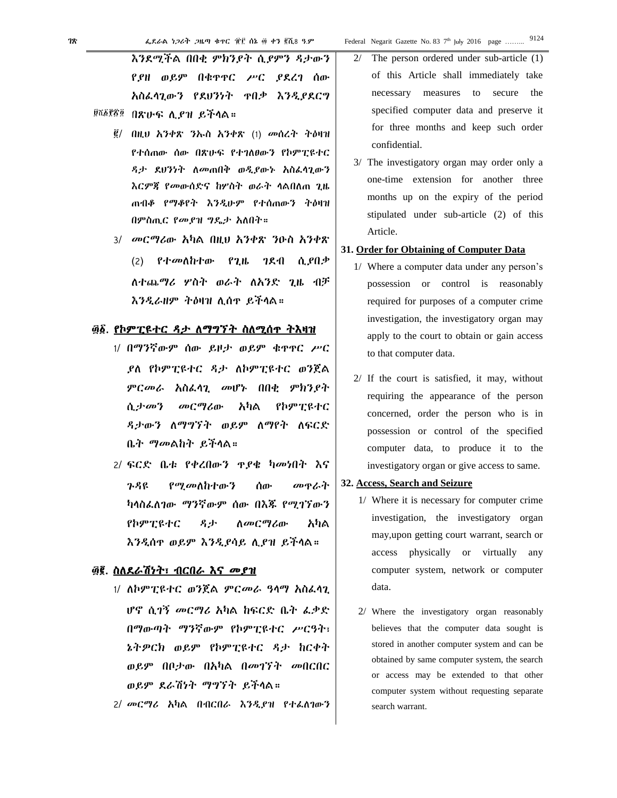እንደሚችል በበቂ ምክንያት ሲያምን ዳታውን የያዘ ወይም በቁጥጥር ሥር ያደረገ ሰው አስፈላጊውን የደህንነት ጥበቃ እንዲያደርግ

- <sup>፱ሺ፩፻፳፬</sup> በጽሁፍ ሊ*ያ*ዝ ይችላል።
	- ፪/ በዚህ አንቀጽ ንኡስ አንቀጽ (1) መሰረት ትዕዛዝ የተሰጠው ሰው በጽሁፍ የተገለፀውን የኮምፒዩተር ዳታ ደህንነት ለመጠበቅ ወዲያውኑ አስፈላጊውን እርምጃ የመውሰድና ከሦስት ወራት ላልበለጠ ጊዜ ጠብቆ የማቆየት እንዲሁም የተሰጠውን ትዕዛዝ በምስጢር የመያዝ ግዴታ አለበት።
	- 3/ መርማሪው አካል በዚህ አንቀጽ ንዑስ አንቀጽ (2) የተመለከተው የጊዜ ገደብ ሲያበቃ ለተጨማሪ ሦስት ወራት ለአንድ ጊዜ ብቻ እንዲራዘም ትዕዛዝ ሊሰጥ ይችላል።

#### ፴፩. የኮምፒዩተር ዳታ ለማግኘት ስለሚሰጥ ትእዛዝ

- 1/ በማንኛውም ሰው ይዞታ ወይም ቁጥጥር ሥር ያለ የኮምፒዩተር ዳታ ለኮምፒዩተር ወንጀል ምርመራ አስፈላጊ መሆኑ በበቂ ምክንያት ሲታመን መርማሪው አካል የኮምፒዩተር ዳታውን ለማግኘት ወይም ለማየት ለፍርድ ቤት ማመልከት ይችላል።
- 2/ ፍርድ ቤቱ የቀረበውን ጥያቄ ካመነበት እና ጉዳዩ የሚመለከተውን ሰው መጥራት ካላስፈለገው ማንኛውም ሰው በእጁ የሚገኘውን የኮምፒዩተር ዳታ ለመርማሪው አካል እንዲሰጥ ወይም እንዲያሳይ ሊያዝ ይችላል።

# ፴፪. ስለደራሽነት፣ ብርበራ እና መያዝ

- 1/ ለኮምፒዩተር ወንጀል ምርመራ ዓላማ አስፈላጊ ሆኖ ሲገኝ መርማሪ አካል ከፍርድ ቤት ፈቃድ በማውጣት ማንኛውም የኮምፒዩተር ሥርዓት፣ ኔትዎርክ ወይም የኮምፒዩተር ዳታ ከርቀት ወይም በቦታው በአካል በመገኘት መበርበር ወይም ደራሽነት ማግኘት ይችላል።
- 2/ መርማሪ አካል በብርበራ እንዲያዝ የተፈለገውን
- 2/ The person ordered under sub-article (1) of this Article shall immediately take necessary measures to secure the specified computer data and preserve it for three months and keep such order confidential.
- 3/ The investigatory organ may order only a one-time extension for another three months up on the expiry of the period stipulated under sub-article (2) of this Article.
- **31. Order for Obtaining of Computer Data** 
	- 1/ Where a computer data under any person's possession or control is reasonably required for purposes of a computer crime investigation, the investigatory organ may apply to the court to obtain or gain access to that computer data.
	- 2/ If the court is satisfied, it may, without requiring the appearance of the person concerned, order the person who is in possession or control of the specified computer data, to produce it to the investigatory organ or give access to same.
- **32. Access, Search and Seizure** 
	- 1/ Where it is necessary for computer crime investigation, the investigatory organ may,upon getting court warrant, search or access physically or virtually any computer system, network or computer data.
	- 2/ Where the investigatory organ reasonably believes that the computer data sought is stored in another computer system and can be obtained by same computer system, the search or access may be extended to that other computer system without requesting separate search warrant.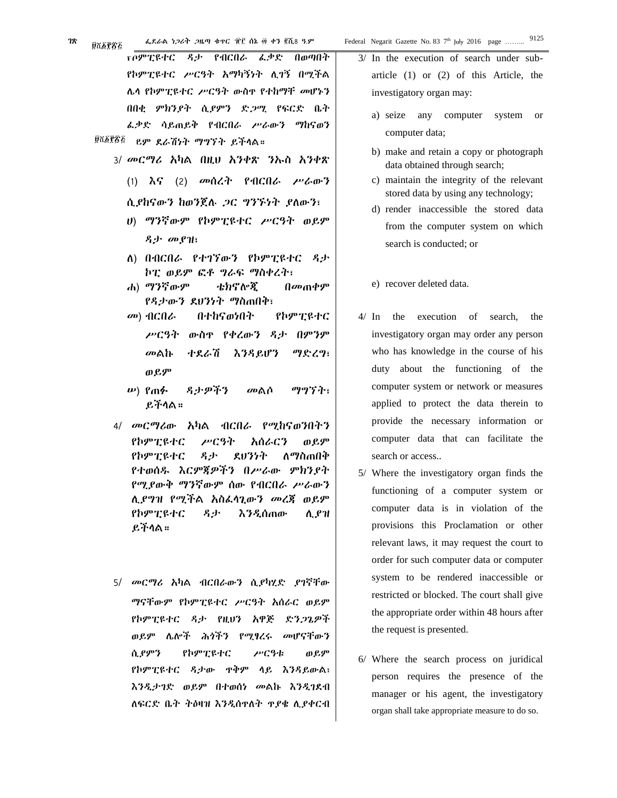የኮምፒዩተር ዳታ የብርበራ ፈቃድ በወጣበት የኮምፒዩተር ሥርዓት አማካኝነት ሊገኝ በሚችል ሌላ የኮምፒዩተር ሥርዓት ውስጥ የተከማቸ መሆኑን በበቂ ምክንያት ሲያምን ድጋሚ የፍርድ ቤት ፈቃድ ሳይጠይቅ የብርበራ ሥራውን ማከናወን ወይም ደራሽነት ማግኘት ይችላል። 3/ መርማሪ አካል በዚህ አንቀጽ ንኡስ አንቀጽ (1) እና (2) መሰረት የብርበራ ሥራውን ሲያከናውን ከወንጀሉ ጋር ግንኙነት ያለውን፣ ሀ) ማንኛውም የኮምፒዩተር ሥርዓት ወይም ዳታ መያዝ፣ ለ) በብርበራ የተገኘውን የኮምፒዩተር ዳታ ኮፒ ወይም ፎቶ ግራፍ ማስቀረት፣ ሐ) ማንኛውም ቴክኖሎጂ በመጠቀም የዳታውን ደህንነት ማስጠበቅ፣ መ) ብርበራ በተከናወነበት የኮምፒዩተር ûnara

- 
- ሥርዓት ውስጥ የቀረውን ዳታ በምንም መልኩ ተደራሽ እንዳይሆን ማድረግ፣ ወይም
- ሠ) የጠፉ ዳታዎችን መልሶ ማግኘት፣ ይችላል።
- 4/ መርማሪው አካል ብርበራ የሚከናወንበትን የኮምፒዩተር ሥርዓት አሰራርን ወይም የኮምፒዩተር ዳታ ደህንነት ለማስጠበቅ የተወሰዱ እርምጃዎችን በሥራው ምክንያት የሚያውቅ ማንኛውም ሰው የብርበራ ሥራውን ሊያግዝ የሚችል አስፈላጊውን መረጃ ወይም የኮምፒዩተር ዳታ እንዲሰጠው ሊያዝ ይችላል።
- 5/ መርማሪ አካል ብርበራውን ሲያካሂድ ያገኛቸው ማናቸውም የኮምፒዩተር ሥርዓት አሰራር ወይም የኮምፒዩተር ዳታ የዚህን አዋጅ ድንጋጌዎች ወይም ሌሎች ሕጎችን የሚፃረሩ መሆናቸውን ሲያምን የኮምፒዩተር ሥርዓቱ ወይም የኮምፒዩተር ዳታው ጥቅም ላይ እንዳይውል፣ እንዲታገድ ወይም በተወሰነ መልኩ እንዲገደብ ለፍርድ ቤት ትዕዛዝ እንዲሰጥለት ጥያቄ ሊያቀርብ

3/ In the execution of search under subarticle (1) or (2) of this Article, the investigatory organ may:

- a) seize any computer system or computer data;
- b) make and retain a copy or photograph data obtained through search;
- c) maintain the integrity of the relevant stored data by using any technology;
- d) render inaccessible the stored data from the computer system on which search is conducted; or
- e) recover deleted data.
- 4/ In the execution of search, the investigatory organ may order any person who has knowledge in the course of his duty about the functioning of the computer system or network or measures applied to protect the data therein to provide the necessary information or computer data that can facilitate the search or access..
- 5/ Where the investigatory organ finds the functioning of a computer system or computer data is in violation of the provisions this Proclamation or other relevant laws, it may request the court to order for such computer data or computer system to be rendered inaccessible or restricted or blocked. The court shall give the appropriate order within 48 hours after the request is presented.
- 6/ Where the search process on juridical person requires the presence of the manager or his agent, the investigatory organ shall take appropriate measure to do so.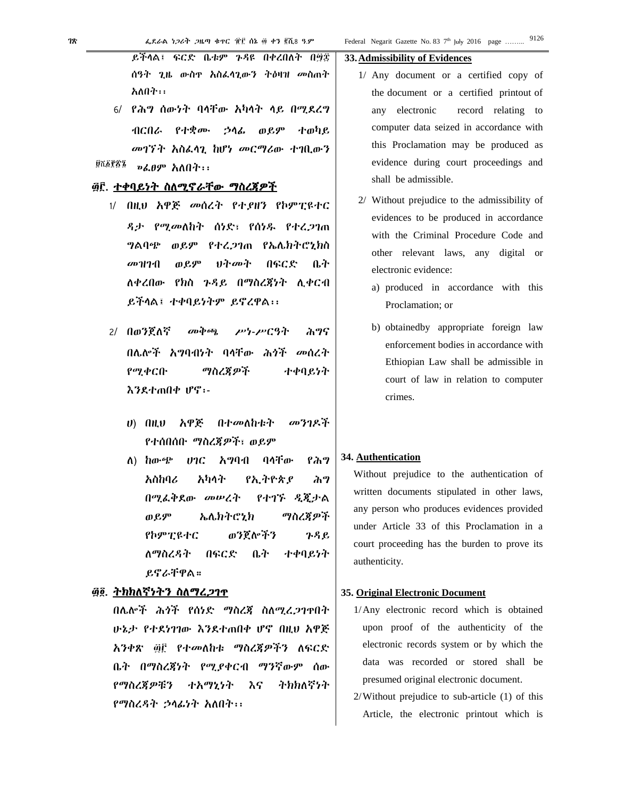ይችላል፤ ፍርድ ቤቱም ጉዳዩ በቀረበለት በ፵፰ ሰዓት ጊዜ ውስዋ አስፌሳጊውን ትዕዛዝ መስጠት አለበት፡፡

6/ የሕግ ሰውነት ባላቸው አካላት ላይ በሚደረግ ብርበራ የተቋሙ ኃላፊ ወይም ተወካይ መገኘት አስፌላጊ ከሆነ መርማሪው ተገቢውን ፱ሺ፩፻፳፯ » *ιθ*ም **λ**λθτ::

# ፴፫. ተቀባይነት ስለሚኖራቸው ማስረጀዎች

- 1/ በዚህ አዋጅ መሰረት የተያዘን የኮምፒዩተር ዳታ የሚመለከት ሰነድ፣ የሰነዱ የተረጋገጠ ግልባጭ ወይም የተረጋገጠ የኤሌክትሮኒክስ መዝገብ ወይም りヤのヤ በፍርድ ቤት ለቀረበው የክስ ጉዳይ በማስረጃነት ሊቀርብ ይችላል፤ ተቀባይነትም ይኖረዋል፡፡
- 2/ በወንጀለኛ *சு* செல் ሥነ-ሥርዓት ሕግና በሌሎች አግባብነት ባላቸው ሕጎች መሰረት የሚቀርቡ ማስረጃዎች ተቀባይነት እንደተጠበቀ ሆኖ፡-
	- $\boldsymbol{v}$  and አዋጅ በተመለከቱት መንገዶች የተሰበሰቡ ማስረጃዎች፣ ወይም
	- $\Lambda$ ) ho- $\epsilon$ <sup>b</sup>  $07C$ አግባብ ባላቸው የሕግ አስከባሪ አካላት የአትዮጵየ ふり በማፌቅደው መሥረት የተገኙ ዲጂታል ኤሌክትሮኒክ ማስረጃዎች ወይም የኮምፒዩተር ወንጀሎችን ጉዳይ **በፍርድ** ተቀባይነት ለማስረዳት ቤት ይኖራቸዋል።

# ፴፬. ትክክለኛነትን ስለማረ*ጋ*ገጥ

በሌሎች ሕጎች የሰነድ ማስረጃ ስለሚረጋንዋበት ሁኔታ የተደነገገው እንደተጠበቀ ሆኖ በዚህ አዋጅ አንቀጽ ፴፫ የተመለከቱ ማስረጃዎችን ለፍርድ ቤት በማስረጀነት የሚያቀርብ ማንኛውም ሰው ヤカわへぞうヤ የማስረጃዎቹን ተእማኒነት እና የማስረዳት ኃላፊነት አለበት፡፡

#### 33. Admissibility of Evidences

- 1/ Any document or a certified copy of the document or a certified printout of any electronic record relating to computer data seized in accordance with this Proclamation may be produced as evidence during court proceedings and shall be admissible.
- 2/ Without prejudice to the admissibility of evidences to be produced in accordance with the Criminal Procedure Code and other relevant laws, any digital or electronic evidence:
	- a) produced in accordance with this Proclamation; or
	- b) obtainedby appropriate foreign law enforcement bodies in accordance with Ethiopian Law shall be admissible in court of law in relation to computer crimes.

#### 34. Authentication

Without prejudice to the authentication of written documents stipulated in other laws, any person who produces evidences provided under Article 33 of this Proclamation in a court proceeding has the burden to prove its authenticity.

#### 35. Original Electronic Document

- 1/Any electronic record which is obtained upon proof of the authenticity of the electronic records system or by which the data was recorded or stored shall be presumed original electronic document.
- $2$ /Without prejudice to sub-article  $(1)$  of this Article, the electronic printout which is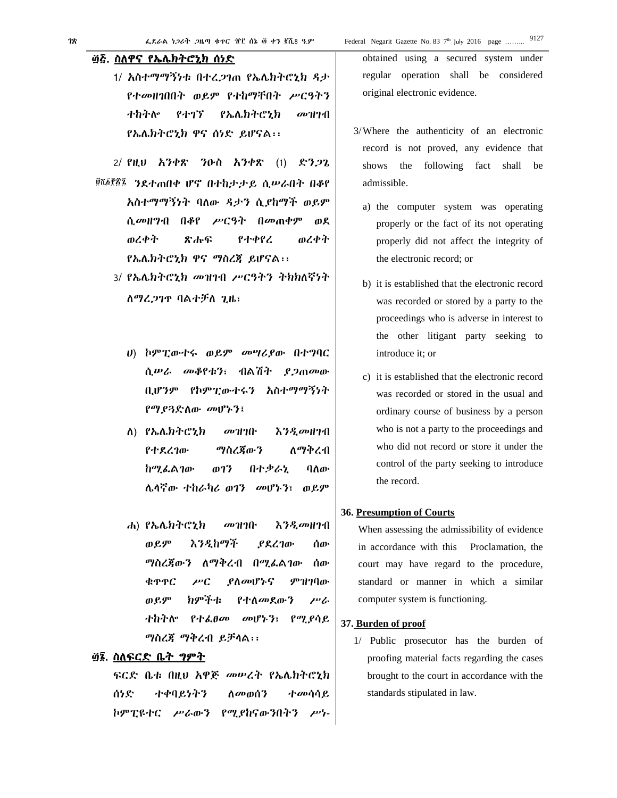#### ፴፭. ስለዋና የኤሌክትሮኒክ ሰነድ

1/ አስተማማኝነቱ በተረጋገጠ የኤሌክትሮኒክ ዳታ የተመዘገበበት ወይም የተከማቸበት ሥርዓትን ተከትሎ የተገኘ የኤሌክትሮኒክ መዝገብ የኤሌክትሮኒክ ዋና ሰነድ ይሆናል፡፡

2/ የዚህ አንቀጽ ንዑስ አንቀጽ (1) ድንጋጌ <sup>፱ሺ፩፻፳፯</sup> ንደተጠበቀ ሆኖ በተከታታይ ሲሥራበት በቆየ አስተማማኝነት ባለው ዳታን ሲያከማች ወይም ሲመዘግብ በቆየ ሥርዓት በመጠቀም ወደ ወረቀት ጽሑፍ የተቀየረ ወረቀት የኤሌክትሮኒክ ዋና ማስረጃ ይሆናል፡፡

- 3/ የኤሌክትሮኒክ መዝገብ ሥርዓትን ትክክለኛነት ለማረጋገጥ ባልተቻለ ጊዜ፣
	- ሀ) ኮምፒውተሩ ወይም መሣሪያው በተግባር ሲሠራ መቆየቱን፣ ብልሽት ያጋጠመው ቢሆንም የኮምፒውተሩን አስተማማኝነት የማያጓድለው መሆኑን፤
	- ለ) የኤሌክትሮኒክ መዝገቡ እንዲመዘገብ የተደረገው ማስረጃውን ለማቅረብ ከሚፈልገው ወገን በተቃራኒ ባለው ሌላኛው ተከራካሪ ወገን መሆኑን፣ ወይም
	- ሐ) የኤሌክትሮኒክ መዝገቡ እንዲመዘገብ ወይም እንዲከማች ያደረገው ሰው ማስረጃውን ለማቅረብ በሚፈልገው ሰው ቁጥጥር ሥር ያለመሆኑና ምዝገባው ወይም ክምችቱ የተለመደውን ሥራ ተከትሎ የተፈፀመ መሆኑን፣ የሚያሳይ ማስረጃ ማቅረብ ይቻላል፡፡

# ፴፮. ስለፍርድ ቤት ግምት

ፍርድ ቤቱ በዚህ አዋጅ መሠረት የኤሌክትሮኒክ ሰነድ ተቀባይነትን ለመወሰን ተመሳሳይ ኮምፒዩተር ሥራውን የሚያከናውንበትን ሥነ- obtained using a secured system under regular operation shall be considered original electronic evidence.

- 3/Where the authenticity of an electronic record is not proved, any evidence that shows the following fact shall be admissible.
	- a) the computer system was operating properly or the fact of its not operating properly did not affect the integrity of the electronic record; or
	- b) it is established that the electronic record was recorded or stored by a party to the proceedings who is adverse in interest to the other litigant party seeking to introduce it; or
	- c) it is established that the electronic record was recorded or stored in the usual and ordinary course of business by a person who is not a party to the proceedings and who did not record or store it under the control of the party seeking to introduce the record.

#### **36. Presumption of Courts**

When assessing the admissibility of evidence in accordance with this Proclamation, the court may have regard to the procedure, standard or manner in which a similar computer system is functioning.

#### **37. Burden of proof**

1/ Public prosecutor has the burden of proofing material facts regarding the cases brought to the court in accordance with the standards stipulated in law.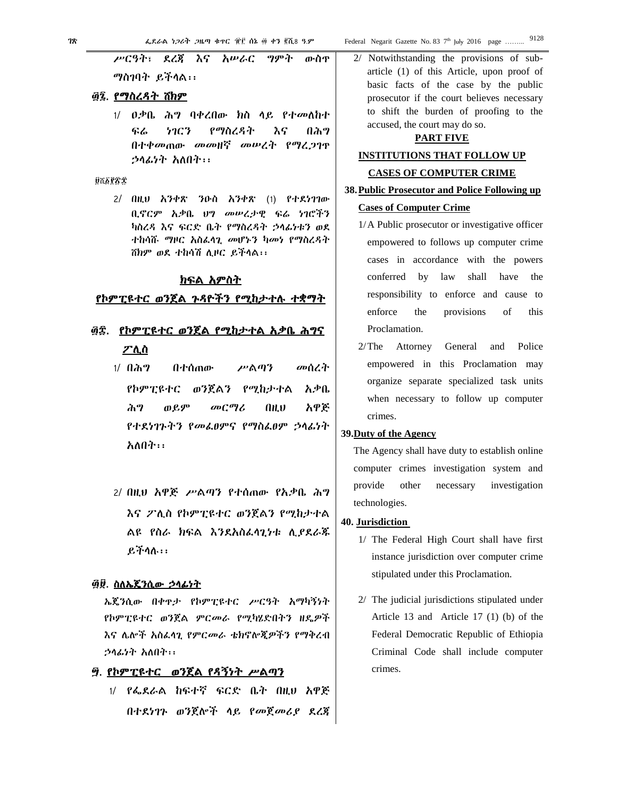78

ሥርዓት፣ ደረጀ እና አሥራር ግምት ውስዋ ማስገባት ይችላል::

# ፴፯. የማስረዳት ሽክም

 $1/$   $0$ ቃቤ ሕግ ባቀረበው ክስ ላይ የተመለከተ ፍሬ 5903 የማስረዳት እና በሕግ በተቀመጠው መመዘኛ መሠረት የማረጋገዋ ኃላፊነት አለበት፡፡

#### **QTEPTT**

 $2/$  በዚህ አንቀጽ ንዑስ አንቀጽ (1) የተደነገገው ቢኖርም አቃቤ ህግ መሠረታዊ ፍሬ ነገሮችን ካስረዳ እና ፍርድ ቤት የማስረዳት ኃላፊነቱን ወደ ተከሳሹ ማዞር አስፌሳጊ መሆኑን ካመነ የማስረዳት ሽክም ወደ ተከሳሽ ሊዞር ይችላል፡፡

### ክፍል አምስት

#### <u>የኮምፒዩተር ወንጀል ጉዳዮችን የሚከታተሉ ተቋማት</u>

- ፴፰. <u>የኮምፒዩተር ወንጀል የሚከታተል አቃቤ ሕግና</u> <u>ፖሊስ</u>
	- $1/1$   $0$  $\lambda$ <sup>9</sup> በተሰጠው ሥልጣን መሰረት የኮምፒዩተር ወንጀልን የሚከታተል አቃቤ ሕግ ወይም መርማሪ አዋጅ AH.V የተደነገጉትን የመልፀምና የማስልፀም ኃሳፊነት አለበት፡፡
	- 2/ በዚህ አዋጅ ሥልጣን የተሰጠው የአቃቤ ሕግ እና ፖሊስ የኮምፒዩተር ወንጀልን የሚከታተል ልዩ የስራ ክፍል እንደአስፌሳጊነቱ ሲያደራጁ  $P_1$ ችሳስ $\cdots$

# <u>፴፱. ስለኤጄንሲው ኃላፊነት</u>

ኤጄንሲው በቀዋታ የኮምፒዩተር ሥርዓት አማካኝነት የኮምፒዩተር ወንጀል ምርመራ የሚካሄድበትን ዘዴዎች እና ሌሎች አስፌሳጊ የምርመራ ቴክኖሎጂዎችን የማቅረብ ኃሳፊነት አለበት፡፡

# ፵. የኮምፒዩተር ወንጀል የዳኝነት ሥልጣን

1/ የፌደራል ከፍተኛ ፍርድ ቤት በዚህ አዋጅ በተደነገጉ ወንጀሎች ላይ የመጀመሪያ ደረጃ

2/ Notwithstanding the provisions of subarticle (1) of this Article, upon proof of basic facts of the case by the public prosecutor if the court believes necessary to shift the burden of proofing to the accused, the court may do so.

### **PART FIVE**

# **INSTITUTIONS THAT FOLLOW UP**

#### **CASES OF COMPUTER CRIME**

### 38. Public Prosecutor and Police Following up

# **Cases of Computer Crime**

- 1/A Public prosecutor or investigative officer empowered to follows up computer crime cases in accordance with the powers conferred by law shall have the responsibility to enforce and cause to enforce the provisions of this Proclamation.
- and Police  $2/T$ he Attorney General empowered in this Proclamation may organize separate specialized task units when necessary to follow up computer crimes.

#### 39. Duty of the Agency

The Agency shall have duty to establish online computer crimes investigation system and provide other necessary investigation technologies.

#### 40. Jurisdiction

- 1/ The Federal High Court shall have first instance jurisdiction over computer crime stipulated under this Proclamation.
- 2/ The judicial jurisdictions stipulated under Article 13 and Article 17 (1) (b) of the Federal Democratic Republic of Ethiopia Criminal Code shall include computer crimes.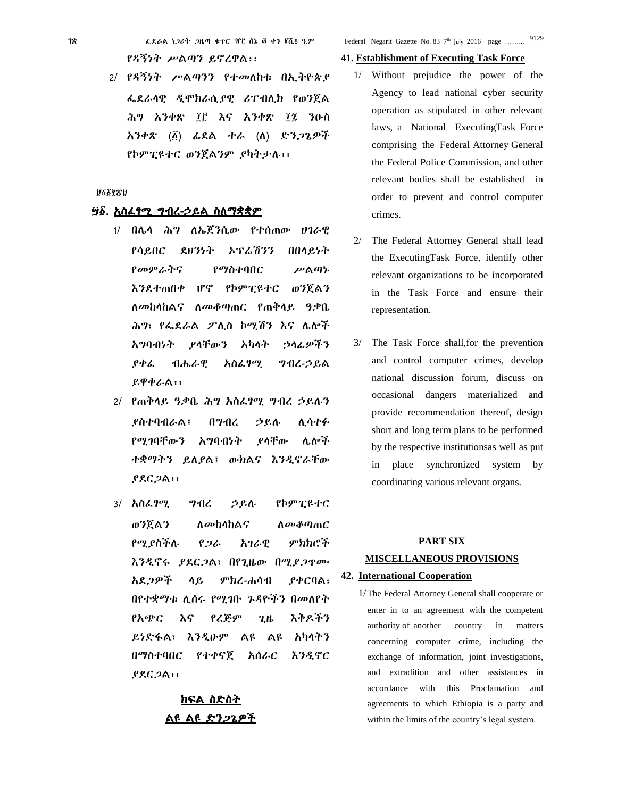2/ የዳኝነት ሥልጣንን የተመለከቱ በኢትዮጵያ ፌደራሳዊ ዲሞክራሲያዊ ሪፐብሊክ የወንጀል ሕግ አንቀጽ ፲፫ እና አንቀጽ *፲፯ ን*ዑስ አንቀጽ (፩) ፊደል ተራ (ለ) ድን*ጋ*ጌዎች የኮምፒዩተር ወንጀልንም ያካትታሉ፡፡

#### **DRAPTO**

# ፵፩. <u>አስፌፃሚ ግብረ-ኃይል ስለማቋቋም</u>

- 1/ በሌሳ ሕግ ለኤጀንሲው የተሰጠው ሀገራዊ ደህንነት ኦፕሬሽንን የሳይበር በበላይነት የመምራትና የማስተባበር ሥልጣኑ Մ°ւ የኮምፒዩተር ወንጀልን እንደተጠበቀ ለ*መከላከ*ልና ለ*መቆጣ*ጠር የጠቅሳይ ዓቃቤ ሕግ፣ የፌደራል ፖሊስ ኮሚሽን እና ሌሎች ያላቸውን አካላት አማባብነት ኃላፊዎችን ያቀሬ れんんも አስፌፃሚ ツイム・クルへ ይዋቀራል፡፡
- 2/ የጠቅሳይ ዓቃቤ ሕግ አስፌፃሚ ግብረ ኃይሉን **ያስተባብራል፤** በማብረ ኃይሉ ሊሳተፉ የሚገባቸውን አማባብነት ያሳቸው ሌሎች ተቋማትን ይለያል፤ ውክልና እንዲኖራቸው  $PAC.2A$ :
- 3/ አስ*ፌየሚ* **9416** うらん የኮምፒዩተር ወንጀልን ለመከላከልና ስመቆጣጠር የሚ ያስችሉ ምክክሮች የጋራ አገራዊ እንዲኖሩ ያደርጋል፣ በየጊዜው በሚያጋዋሙ አደጋዎች ሳይ ምክረ-ሐሳብ **ያቀርባል**፣ በየተቋማቱ ሊሰሩ የሚገቡ ጉዳዮችን በመለየት እቅዶችን የአጭር እና የረጅም  $2.1<sub>b</sub>$ ይነድፋል፣ እንዲሁም ልዩ ልዩ አካላትን በማስተባበር የተቀናጀ አሰራር እንዲኖር  $PAC,2A$ :

# ክፍል ስድስት ልዩ ልዩ ድን*ጋ*ጌዎች

# **41. Establishment of Executing Task Force**

- 1/ Without prejudice the power of the Agency to lead national cyber security operation as stipulated in other relevant laws, a National ExecutingTask Force comprising the Federal Attorney General the Federal Police Commission, and other relevant bodies shall be established in order to prevent and control computer crimes.
- $2/$ The Federal Attorney General shall lead the ExecutingTask Force, identify other relevant organizations to be incorporated in the Task Force and ensure their representation.
- The Task Force shall, for the prevention and control computer crimes, develop national discussion forum, discuss on occasional dangers materialized and provide recommendation thereof, design short and long term plans to be performed by the respective institutions as well as put place synchronized system by in coordinating various relevant organs.

# **PART SIX MISCELLANEOUS PROVISIONS**

### 42. International Cooperation

1/The Federal Attorney General shall cooperate or enter in to an agreement with the competent authority of another country in matters concerning computer crime, including the exchange of information, joint investigations, and extradition and other assistances in accordance with this Proclamation and agreements to which Ethiopia is a party and within the limits of the country's legal system.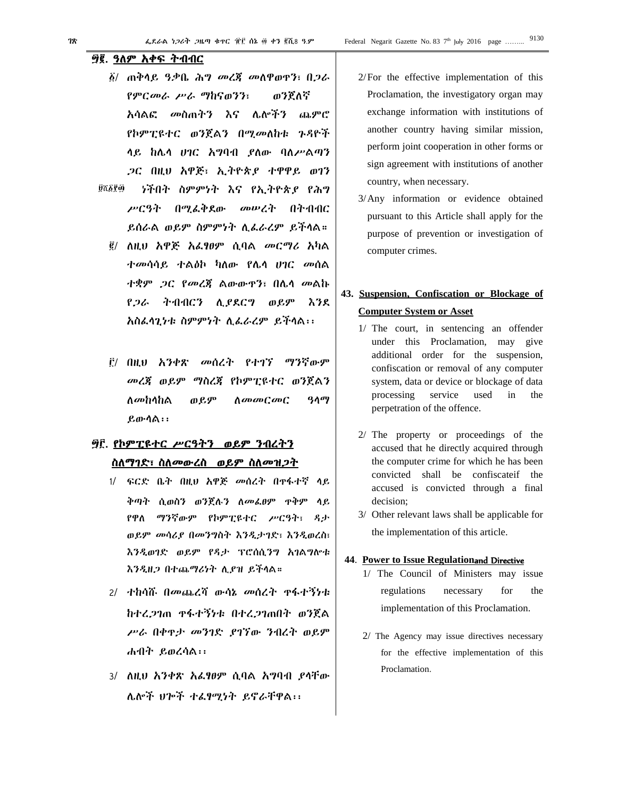# ፵፪. ዓለም አቀፍ ትብብር

- ፩/ ጠቅላይ ዓቃቤ ሕግ መረጃ መለዋወጥን፣ በጋራ የምርመራ ሥራ ማከናወንን፣ ወንጀለኛ አሳልፎ መስጠትን እና ሌሎችን ጨምሮ የኮምፒዩተር ወንጀልን በሚመለከቱ ጉዳዮች ላይ ከሌላ ሀገር አግባብ ያለው ባለሥልጣን ጋር በዚህ አዋጅ፣ ኢትዮጵያ ተዋዋይ ወገን በሆነችበት ስምምነት እና የኢትዮጵያ የሕግ **Ú**ሺ፩ያØ
- ሥርዓት በሚፈቅደው መሠረት በትብብር ይሰራል ወይም ስምምነት ሊፈራረም ይችላል።
	- ፪/ ለዚህ አዋጅ አፈፃፀም ሲባል መርማሪ አካል ተመሳሳይ ተልዕኮ ካለው የሌላ ሀገር መሰል ተቋም ጋር የመረጃ ልውውጥን፣ በሌላ መልኩ የጋራ ትብብርን ሊያደርግ ወይም እንደ አስፈላጊነቱ ስምምነት ሊፈራረም ይችላል፡፡
	- ፫/ በዚህ አንቀጽ መሰረት የተገኘ ማንኛውም መረጃ ወይም ማስረጃ የኮምፒዩተር ወንጀልን ለመከላከል ወይም ለመመርመር ዓላማ ይውላል፡፡

# ፵፫. የኮምፒዩተር ሥርዓትን ወይም ንብረትን ስለማገድ፣ ስለመውረስ ወይም ስለመዝጋት

- 1/ ፍርድ ቤት በዚህ አዋጅ መሰረት በጥፋተኛ ላይ ቅጣት ሲወስን ወንጀሉን ለመፈፀም ጥቅም ላይ የዋለ ማንኛውም የኮምፒዩተር ሥርዓት፣ ዳታ ወይም መሳሪያ በመንግስት እንዲታገድ፣ እንዲወረስ፣ እንዲወገድ ወይም የዳታ ፕሮሰሲንግ አገልግሎቱ እንዲዘጋ በተጨማሪነት ሊያዝ ይችላል።
- 2/ ተከሳሹ በመጨረሻ ውሳኔ መሰረት ጥፋተኝነቱ ከተረጋገጠ ጥፋተኝነቱ በተረጋገጠበት ወንጀል ሥራ በቀጥታ መንገድ ያገኘው ንብረት ወይም ሐብት ይወረሳል፡፡
- 3/ ለዚህ አንቀጽ አፈፃፀም ሲባል አግባብ ያላቸው ሌሎች ህጐች ተፈፃሚነት ይኖራቸዋል፡፡
- 2/For the effective implementation of this Proclamation, the investigatory organ may exchange information with institutions of another country having similar mission, perform joint cooperation in other forms or sign agreement with institutions of another country, when necessary.
- 3/Any information or evidence obtained pursuant to this Article shall apply for the purpose of prevention or investigation of computer crimes.

# **43. Suspension, Confiscation or Blockage of Computer System or Asset**

- 1/ The court, in sentencing an offender under this Proclamation, may give additional order for the suspension, confiscation or removal of any computer system, data or device or blockage of data processing service used in the perpetration of the offence.
- 2/ The property or proceedings of the accused that he directly acquired through the computer crime for which he has been convicted shall be confiscateif the accused is convicted through a final decision;
- 3/ Other relevant laws shall be applicable for the implementation of this article.

#### **44**. **Power to Issue Regulation**and Directive

- 1/ The Council of Ministers may issue regulations necessary for the implementation of this Proclamation.
- 2/ The Agency may issue directives necessary for the effective implementation of this Proclamation.